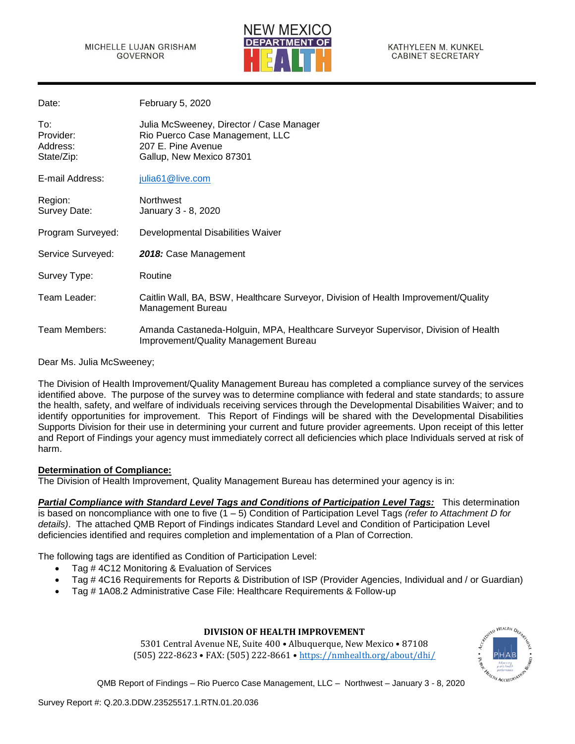

KATHYLEEN M. KUNKEL **CABINET SECRETARY** 

| Date:                                      | February 5, 2020                                                                                                              |
|--------------------------------------------|-------------------------------------------------------------------------------------------------------------------------------|
| To:<br>Provider:<br>Address:<br>State/Zip: | Julia McSweeney, Director / Case Manager<br>Rio Puerco Case Management, LLC<br>207 E. Pine Avenue<br>Gallup, New Mexico 87301 |
| E-mail Address:                            | julia61@live.com                                                                                                              |
| Region:<br>Survey Date:                    | <b>Northwest</b><br>January 3 - 8, 2020                                                                                       |
| Program Surveyed:                          | Developmental Disabilities Waiver                                                                                             |
| Service Surveyed:                          | 2018: Case Management                                                                                                         |
| Survey Type:                               | Routine                                                                                                                       |
| Team Leader:                               | Caitlin Wall, BA, BSW, Healthcare Surveyor, Division of Health Improvement/Quality<br><b>Management Bureau</b>                |
| Team Members:                              | Amanda Castaneda-Holguin, MPA, Healthcare Surveyor Supervisor, Division of Health<br>Improvement/Quality Management Bureau    |

Dear Ms. Julia McSweeney;

The Division of Health Improvement/Quality Management Bureau has completed a compliance survey of the services identified above. The purpose of the survey was to determine compliance with federal and state standards; to assure the health, safety, and welfare of individuals receiving services through the Developmental Disabilities Waiver; and to identify opportunities for improvement. This Report of Findings will be shared with the Developmental Disabilities Supports Division for their use in determining your current and future provider agreements. Upon receipt of this letter and Report of Findings your agency must immediately correct all deficiencies which place Individuals served at risk of harm.

## **Determination of Compliance:**

The Division of Health Improvement, Quality Management Bureau has determined your agency is in:

*Partial Compliance with Standard Level Tags and Conditions of Participation Level Tags:* This determination is based on noncompliance with one to five (1 – 5) Condition of Participation Level Tags *(refer to Attachment D for details)*. The attached QMB Report of Findings indicates Standard Level and Condition of Participation Level deficiencies identified and requires completion and implementation of a Plan of Correction.

The following tags are identified as Condition of Participation Level:

- Tag # 4C12 Monitoring & Evaluation of Services
- Tag # 4C16 Requirements for Reports & Distribution of ISP (Provider Agencies, Individual and / or Guardian)
- Tag # 1A08.2 Administrative Case File: Healthcare Requirements & Follow-up

# **DIVISION OF HEALTH IMPROVEMENT**

5301 Central Avenue NE, Suite 400 • Albuquerque, New Mexico • 87108 (505) 222-8623 • FAX: (505) 222-8661 • <https://nmhealth.org/about/dhi/>

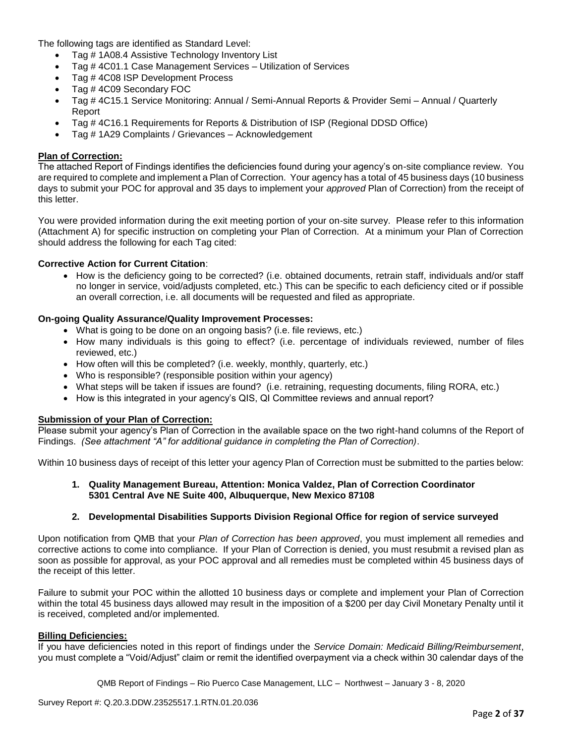The following tags are identified as Standard Level:

- Tag # 1A08.4 Assistive Technology Inventory List
- Tag # 4C01.1 Case Management Services Utilization of Services
- Tag #4C08 ISP Development Process
- Tag #4C09 Secondary FOC
- Tag # 4C15.1 Service Monitoring: Annual / Semi-Annual Reports & Provider Semi Annual / Quarterly Report
- Tag # 4C16.1 Requirements for Reports & Distribution of ISP (Regional DDSD Office)
- Tag # 1A29 Complaints / Grievances Acknowledgement

## **Plan of Correction:**

The attached Report of Findings identifies the deficiencies found during your agency's on-site compliance review. You are required to complete and implement a Plan of Correction. Your agency has a total of 45 business days (10 business days to submit your POC for approval and 35 days to implement your *approved* Plan of Correction) from the receipt of this letter.

You were provided information during the exit meeting portion of your on-site survey. Please refer to this information (Attachment A) for specific instruction on completing your Plan of Correction. At a minimum your Plan of Correction should address the following for each Tag cited:

## **Corrective Action for Current Citation**:

• How is the deficiency going to be corrected? (i.e. obtained documents, retrain staff, individuals and/or staff no longer in service, void/adjusts completed, etc.) This can be specific to each deficiency cited or if possible an overall correction, i.e. all documents will be requested and filed as appropriate.

#### **On-going Quality Assurance/Quality Improvement Processes:**

- What is going to be done on an ongoing basis? (i.e. file reviews, etc.)
- How many individuals is this going to effect? (i.e. percentage of individuals reviewed, number of files reviewed, etc.)
- How often will this be completed? (i.e. weekly, monthly, quarterly, etc.)
- Who is responsible? (responsible position within your agency)
- What steps will be taken if issues are found? (i.e. retraining, requesting documents, filing RORA, etc.)
- How is this integrated in your agency's QIS, QI Committee reviews and annual report?

## **Submission of your Plan of Correction:**

Please submit your agency's Plan of Correction in the available space on the two right-hand columns of the Report of Findings. *(See attachment "A" for additional guidance in completing the Plan of Correction)*.

Within 10 business days of receipt of this letter your agency Plan of Correction must be submitted to the parties below:

## **1. Quality Management Bureau, Attention: Monica Valdez, Plan of Correction Coordinator 5301 Central Ave NE Suite 400, Albuquerque, New Mexico 87108**

# **2. Developmental Disabilities Supports Division Regional Office for region of service surveyed**

Upon notification from QMB that your *Plan of Correction has been approved*, you must implement all remedies and corrective actions to come into compliance. If your Plan of Correction is denied, you must resubmit a revised plan as soon as possible for approval, as your POC approval and all remedies must be completed within 45 business days of the receipt of this letter.

Failure to submit your POC within the allotted 10 business days or complete and implement your Plan of Correction within the total 45 business days allowed may result in the imposition of a \$200 per day Civil Monetary Penalty until it is received, completed and/or implemented.

## **Billing Deficiencies:**

If you have deficiencies noted in this report of findings under the *Service Domain: Medicaid Billing/Reimbursement*, you must complete a "Void/Adjust" claim or remit the identified overpayment via a check within 30 calendar days of the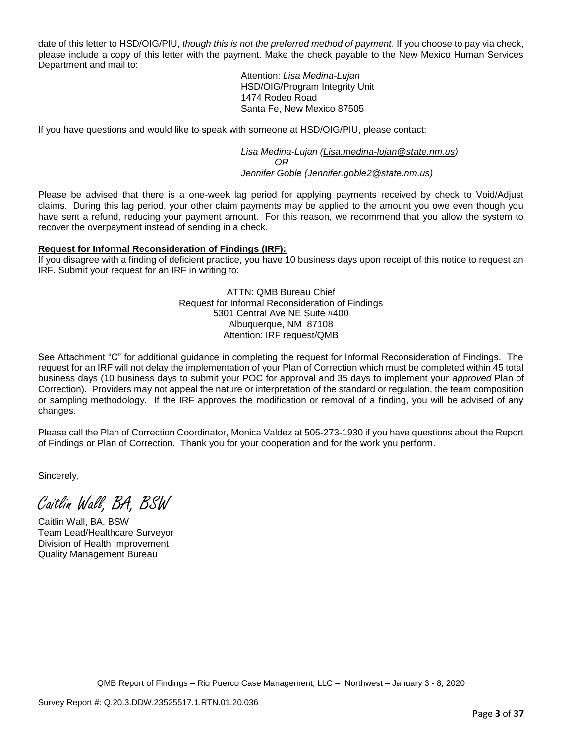date of this letter to HSD/OIG/PIU, *though this is not the preferred method of payment*. If you choose to pay via check, please include a copy of this letter with the payment. Make the check payable to the New Mexico Human Services Department and mail to:

> Attention: *Lisa Medina-Lujan* HSD/OIG/Program Integrity Unit 1474 Rodeo Road Santa Fe, New Mexico 87505

If you have questions and would like to speak with someone at HSD/OIG/PIU, please contact:

*Lisa Medina-Lujan [\(Lisa.medina-lujan@state.nm.us\)](mailto:Lisa.medina-lujan@state.nm.us) OR Jennifer Goble [\(Jennifer.goble2@state.nm.us\)](mailto:Jennifer.goble2@state.nm.us)*

Please be advised that there is a one-week lag period for applying payments received by check to Void/Adjust claims. During this lag period, your other claim payments may be applied to the amount you owe even though you have sent a refund, reducing your payment amount. For this reason, we recommend that you allow the system to recover the overpayment instead of sending in a check.

## **Request for Informal Reconsideration of Findings (IRF):**

If you disagree with a finding of deficient practice, you have 10 business days upon receipt of this notice to request an IRF. Submit your request for an IRF in writing to:

> ATTN: QMB Bureau Chief Request for Informal Reconsideration of Findings 5301 Central Ave NE Suite #400 Albuquerque, NM 87108 Attention: IRF request/QMB

See Attachment "C" for additional guidance in completing the request for Informal Reconsideration of Findings. The request for an IRF will not delay the implementation of your Plan of Correction which must be completed within 45 total business days (10 business days to submit your POC for approval and 35 days to implement your *approved* Plan of Correction). Providers may not appeal the nature or interpretation of the standard or regulation, the team composition or sampling methodology. If the IRF approves the modification or removal of a finding, you will be advised of any changes.

Please call the Plan of Correction Coordinator, Monica Valdez at 505-273-1930 if you have questions about the Report of Findings or Plan of Correction. Thank you for your cooperation and for the work you perform.

Sincerely,

Caitlin Wall, BA, BSW

Caitlin Wall, BA, BSW Team Lead/Healthcare Surveyor Division of Health Improvement Quality Management Bureau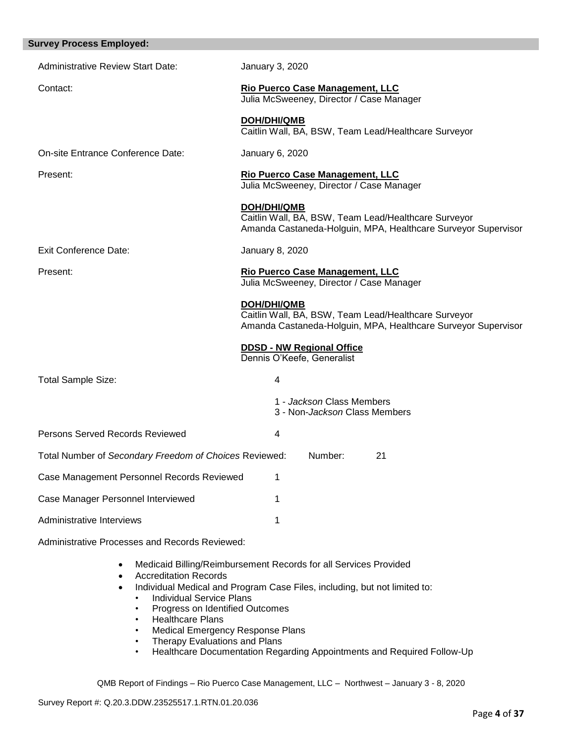| <b>Survey Process Employed:</b>                                                                                                                                                                               |                                                                                                                                               |
|---------------------------------------------------------------------------------------------------------------------------------------------------------------------------------------------------------------|-----------------------------------------------------------------------------------------------------------------------------------------------|
| <b>Administrative Review Start Date:</b>                                                                                                                                                                      | January 3, 2020                                                                                                                               |
| Contact:                                                                                                                                                                                                      | Rio Puerco Case Management, LLC<br>Julia McSweeney, Director / Case Manager                                                                   |
|                                                                                                                                                                                                               | <b>DOH/DHI/QMB</b><br>Caitlin Wall, BA, BSW, Team Lead/Healthcare Surveyor                                                                    |
| On-site Entrance Conference Date:                                                                                                                                                                             | January 6, 2020                                                                                                                               |
| Present:                                                                                                                                                                                                      | Rio Puerco Case Management, LLC<br>Julia McSweeney, Director / Case Manager                                                                   |
|                                                                                                                                                                                                               | <b>DOH/DHI/QMB</b><br>Caitlin Wall, BA, BSW, Team Lead/Healthcare Surveyor<br>Amanda Castaneda-Holguin, MPA, Healthcare Surveyor Supervisor   |
| <b>Exit Conference Date:</b>                                                                                                                                                                                  | January 8, 2020                                                                                                                               |
| Present:                                                                                                                                                                                                      | <b>Rio Puerco Case Management, LLC</b><br>Julia McSweeney, Director / Case Manager                                                            |
|                                                                                                                                                                                                               | <b>DOH/DHI/QMB</b><br>Caitlin Wall, BA, BSW, Team Lead/Healthcare Surveyor<br>Amanda Castaneda-Holguin, MPA, Healthcare Surveyor Supervisor   |
|                                                                                                                                                                                                               | <b>DDSD - NW Regional Office</b><br>Dennis O'Keefe, Generalist                                                                                |
| Total Sample Size:                                                                                                                                                                                            | 4                                                                                                                                             |
|                                                                                                                                                                                                               | 1 - Jackson Class Members<br>3 - Non-Jackson Class Members                                                                                    |
| <b>Persons Served Records Reviewed</b>                                                                                                                                                                        | 4                                                                                                                                             |
| Total Number of Secondary Freedom of Choices Reviewed:                                                                                                                                                        | 21<br>Number:                                                                                                                                 |
| Case Management Personnel Records Reviewed                                                                                                                                                                    | 1                                                                                                                                             |
| Case Manager Personnel Interviewed                                                                                                                                                                            | 1                                                                                                                                             |
| Administrative Interviews                                                                                                                                                                                     | 1                                                                                                                                             |
| <b>Administrative Processes and Records Reviewed:</b>                                                                                                                                                         |                                                                                                                                               |
| ٠<br><b>Accreditation Records</b><br>$\bullet$<br>$\bullet$<br><b>Individual Service Plans</b><br>Progress on Identified Outcomes<br><b>Healthcare Plans</b><br>Medical Emergency Response Plans<br>$\bullet$ | Medicaid Billing/Reimbursement Records for all Services Provided<br>Individual Medical and Program Case Files, including, but not limited to: |

- Therapy Evaluations and Plans
- Healthcare Documentation Regarding Appointments and Required Follow-Up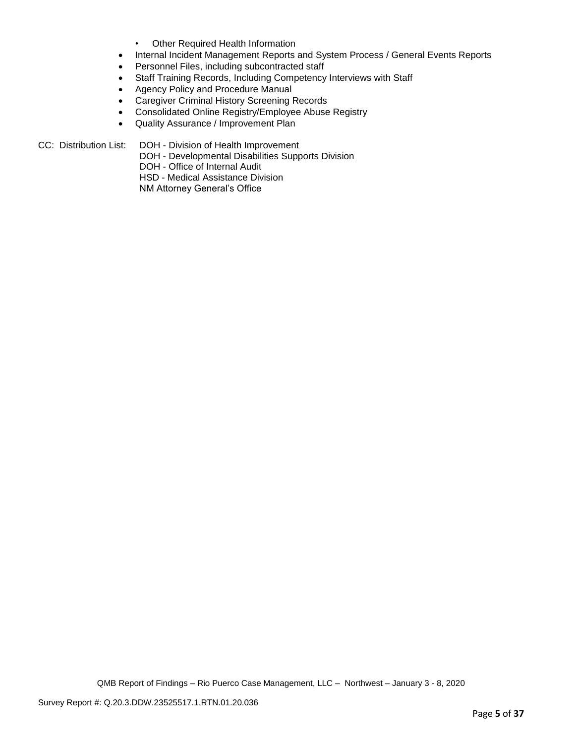- Other Required Health Information
- Internal Incident Management Reports and System Process / General Events Reports
- Personnel Files, including subcontracted staff
- Staff Training Records, Including Competency Interviews with Staff
- Agency Policy and Procedure Manual
- Caregiver Criminal History Screening Records
- Consolidated Online Registry/Employee Abuse Registry
- Quality Assurance / Improvement Plan

CC: Distribution List: DOH - Division of Health Improvement

DOH - Developmental Disabilities Supports Division

DOH - Office of Internal Audit

HSD - Medical Assistance Division

NM Attorney General's Office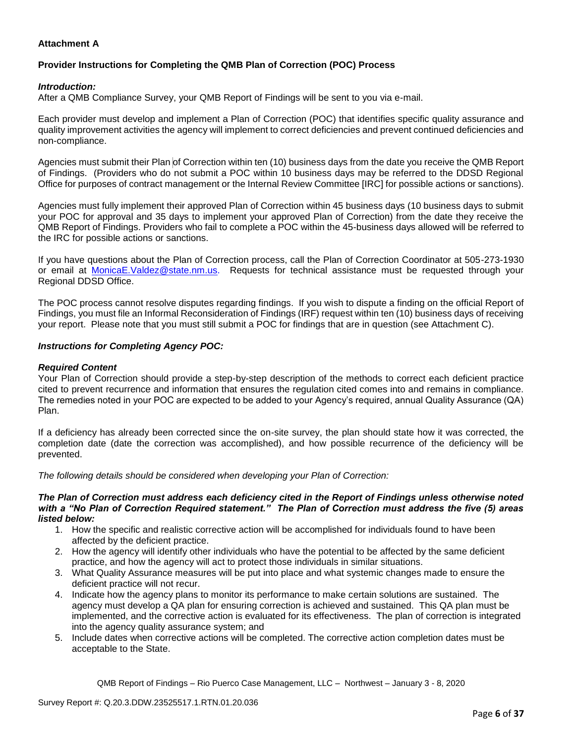# **Attachment A**

# **Provider Instructions for Completing the QMB Plan of Correction (POC) Process**

## *Introduction:*

After a QMB Compliance Survey, your QMB Report of Findings will be sent to you via e-mail.

Each provider must develop and implement a Plan of Correction (POC) that identifies specific quality assurance and quality improvement activities the agency will implement to correct deficiencies and prevent continued deficiencies and non-compliance.

Agencies must submit their Plan of Correction within ten (10) business days from the date you receive the QMB Report of Findings. (Providers who do not submit a POC within 10 business days may be referred to the DDSD Regional Office for purposes of contract management or the Internal Review Committee [IRC] for possible actions or sanctions).

Agencies must fully implement their approved Plan of Correction within 45 business days (10 business days to submit your POC for approval and 35 days to implement your approved Plan of Correction) from the date they receive the QMB Report of Findings. Providers who fail to complete a POC within the 45-business days allowed will be referred to the IRC for possible actions or sanctions.

If you have questions about the Plan of Correction process, call the Plan of Correction Coordinator at 505-273-1930 or email at [MonicaE.Valdez@state.nm.us.](mailto:MonicaE.Valdez@state.nm.us) Requests for technical assistance must be requested through your Regional DDSD Office.

The POC process cannot resolve disputes regarding findings. If you wish to dispute a finding on the official Report of Findings, you must file an Informal Reconsideration of Findings (IRF) request within ten (10) business days of receiving your report. Please note that you must still submit a POC for findings that are in question (see Attachment C).

## *Instructions for Completing Agency POC:*

## *Required Content*

Your Plan of Correction should provide a step-by-step description of the methods to correct each deficient practice cited to prevent recurrence and information that ensures the regulation cited comes into and remains in compliance. The remedies noted in your POC are expected to be added to your Agency's required, annual Quality Assurance (QA) Plan.

If a deficiency has already been corrected since the on-site survey, the plan should state how it was corrected, the completion date (date the correction was accomplished), and how possible recurrence of the deficiency will be prevented.

*The following details should be considered when developing your Plan of Correction:*

#### *The Plan of Correction must address each deficiency cited in the Report of Findings unless otherwise noted with a "No Plan of Correction Required statement." The Plan of Correction must address the five (5) areas listed below:*

- 1. How the specific and realistic corrective action will be accomplished for individuals found to have been affected by the deficient practice.
- 2. How the agency will identify other individuals who have the potential to be affected by the same deficient practice, and how the agency will act to protect those individuals in similar situations.
- 3. What Quality Assurance measures will be put into place and what systemic changes made to ensure the deficient practice will not recur.
- 4. Indicate how the agency plans to monitor its performance to make certain solutions are sustained. The agency must develop a QA plan for ensuring correction is achieved and sustained. This QA plan must be implemented, and the corrective action is evaluated for its effectiveness. The plan of correction is integrated into the agency quality assurance system; and
- 5. Include dates when corrective actions will be completed. The corrective action completion dates must be acceptable to the State.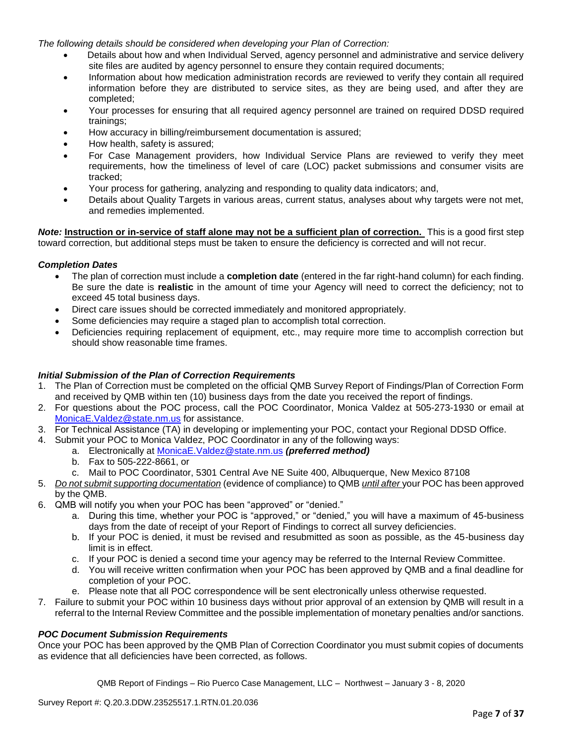*The following details should be considered when developing your Plan of Correction:*

- Details about how and when Individual Served, agency personnel and administrative and service delivery site files are audited by agency personnel to ensure they contain required documents;
- Information about how medication administration records are reviewed to verify they contain all required information before they are distributed to service sites, as they are being used, and after they are completed;
- Your processes for ensuring that all required agency personnel are trained on required DDSD required trainings;
- How accuracy in billing/reimbursement documentation is assured;
- How health, safety is assured;
- For Case Management providers, how Individual Service Plans are reviewed to verify they meet requirements, how the timeliness of level of care (LOC) packet submissions and consumer visits are tracked;
- Your process for gathering, analyzing and responding to quality data indicators; and,
- Details about Quality Targets in various areas, current status, analyses about why targets were not met, and remedies implemented.

*Note:* **Instruction or in-service of staff alone may not be a sufficient plan of correction.** This is a good first step toward correction, but additional steps must be taken to ensure the deficiency is corrected and will not recur.

## *Completion Dates*

- The plan of correction must include a **completion date** (entered in the far right-hand column) for each finding. Be sure the date is **realistic** in the amount of time your Agency will need to correct the deficiency; not to exceed 45 total business days.
- Direct care issues should be corrected immediately and monitored appropriately.
- Some deficiencies may require a staged plan to accomplish total correction.
- Deficiencies requiring replacement of equipment, etc., may require more time to accomplish correction but should show reasonable time frames.

## *Initial Submission of the Plan of Correction Requirements*

- 1. The Plan of Correction must be completed on the official QMB Survey Report of Findings/Plan of Correction Form and received by QMB within ten (10) business days from the date you received the report of findings.
- 2. For questions about the POC process, call the POC Coordinator, Monica Valdez at 505-273-1930 or email at [MonicaE.Valdez@state.nm.us](mailto:MonicaE.Valdez@state.nm.us) for assistance.
- 3. For Technical Assistance (TA) in developing or implementing your POC, contact your Regional DDSD Office.
- 4. Submit your POC to Monica Valdez, POC Coordinator in any of the following ways:
	- a. Electronically at [MonicaE.Valdez@state.nm.us](mailto:MonicaE.Valdez@state.nm.us) *(preferred method)*
	- b. Fax to 505-222-8661, or
	- c. Mail to POC Coordinator, 5301 Central Ave NE Suite 400, Albuquerque, New Mexico 87108
- 5. *Do not submit supporting documentation* (evidence of compliance) to QMB *until after* your POC has been approved by the QMB.
- 6. QMB will notify you when your POC has been "approved" or "denied."
	- a. During this time, whether your POC is "approved," or "denied," you will have a maximum of 45-business days from the date of receipt of your Report of Findings to correct all survey deficiencies.
	- b. If your POC is denied, it must be revised and resubmitted as soon as possible, as the 45-business day limit is in effect.
	- c. If your POC is denied a second time your agency may be referred to the Internal Review Committee.
	- d. You will receive written confirmation when your POC has been approved by QMB and a final deadline for completion of your POC.
	- e. Please note that all POC correspondence will be sent electronically unless otherwise requested.
- 7. Failure to submit your POC within 10 business days without prior approval of an extension by QMB will result in a referral to the Internal Review Committee and the possible implementation of monetary penalties and/or sanctions.

## *POC Document Submission Requirements*

Once your POC has been approved by the QMB Plan of Correction Coordinator you must submit copies of documents as evidence that all deficiencies have been corrected, as follows.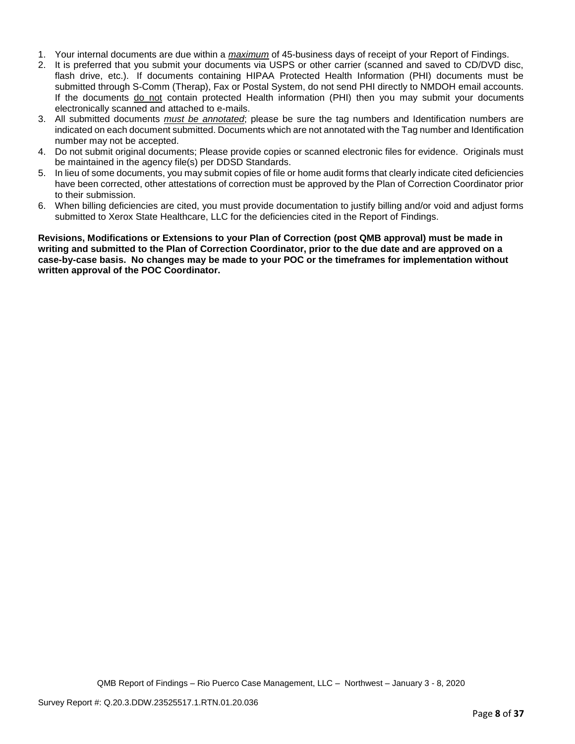- 1. Your internal documents are due within a *maximum* of 45-business days of receipt of your Report of Findings.
- 2. It is preferred that you submit your documents via USPS or other carrier (scanned and saved to CD/DVD disc, flash drive, etc.). If documents containing HIPAA Protected Health Information (PHI) documents must be submitted through S-Comm (Therap), Fax or Postal System, do not send PHI directly to NMDOH email accounts. If the documents do not contain protected Health information (PHI) then you may submit your documents electronically scanned and attached to e-mails.
- 3. All submitted documents *must be annotated*; please be sure the tag numbers and Identification numbers are indicated on each document submitted. Documents which are not annotated with the Tag number and Identification number may not be accepted.
- 4. Do not submit original documents; Please provide copies or scanned electronic files for evidence. Originals must be maintained in the agency file(s) per DDSD Standards.
- 5. In lieu of some documents, you may submit copies of file or home audit forms that clearly indicate cited deficiencies have been corrected, other attestations of correction must be approved by the Plan of Correction Coordinator prior to their submission.
- 6. When billing deficiencies are cited, you must provide documentation to justify billing and/or void and adjust forms submitted to Xerox State Healthcare, LLC for the deficiencies cited in the Report of Findings.

**Revisions, Modifications or Extensions to your Plan of Correction (post QMB approval) must be made in writing and submitted to the Plan of Correction Coordinator, prior to the due date and are approved on a case-by-case basis. No changes may be made to your POC or the timeframes for implementation without written approval of the POC Coordinator.**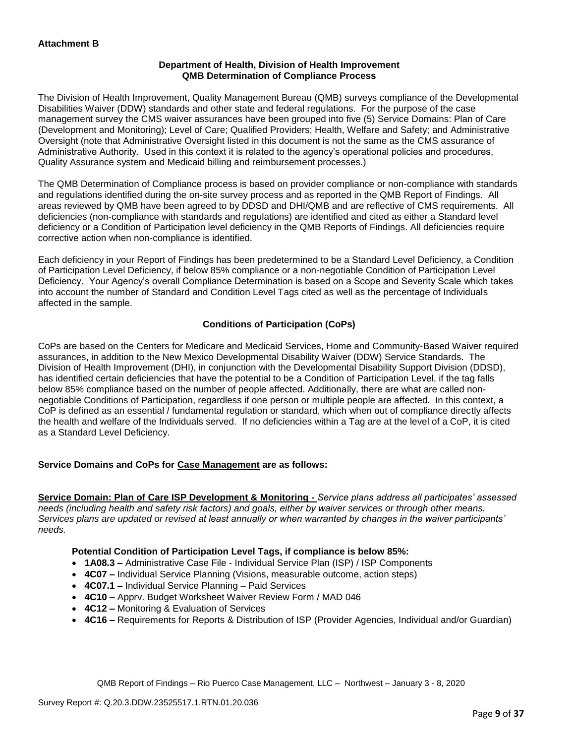## **Department of Health, Division of Health Improvement QMB Determination of Compliance Process**

The Division of Health Improvement, Quality Management Bureau (QMB) surveys compliance of the Developmental Disabilities Waiver (DDW) standards and other state and federal regulations. For the purpose of the case management survey the CMS waiver assurances have been grouped into five (5) Service Domains: Plan of Care (Development and Monitoring); Level of Care; Qualified Providers; Health, Welfare and Safety; and Administrative Oversight (note that Administrative Oversight listed in this document is not the same as the CMS assurance of Administrative Authority. Used in this context it is related to the agency's operational policies and procedures, Quality Assurance system and Medicaid billing and reimbursement processes.)

The QMB Determination of Compliance process is based on provider compliance or non-compliance with standards and regulations identified during the on-site survey process and as reported in the QMB Report of Findings. All areas reviewed by QMB have been agreed to by DDSD and DHI/QMB and are reflective of CMS requirements. All deficiencies (non-compliance with standards and regulations) are identified and cited as either a Standard level deficiency or a Condition of Participation level deficiency in the QMB Reports of Findings. All deficiencies require corrective action when non-compliance is identified.

Each deficiency in your Report of Findings has been predetermined to be a Standard Level Deficiency, a Condition of Participation Level Deficiency, if below 85% compliance or a non-negotiable Condition of Participation Level Deficiency. Your Agency's overall Compliance Determination is based on a Scope and Severity Scale which takes into account the number of Standard and Condition Level Tags cited as well as the percentage of Individuals affected in the sample.

# **Conditions of Participation (CoPs)**

CoPs are based on the Centers for Medicare and Medicaid Services, Home and Community-Based Waiver required assurances, in addition to the New Mexico Developmental Disability Waiver (DDW) Service Standards. The Division of Health Improvement (DHI), in conjunction with the Developmental Disability Support Division (DDSD), has identified certain deficiencies that have the potential to be a Condition of Participation Level, if the tag falls below 85% compliance based on the number of people affected. Additionally, there are what are called nonnegotiable Conditions of Participation, regardless if one person or multiple people are affected. In this context, a CoP is defined as an essential / fundamental regulation or standard, which when out of compliance directly affects the health and welfare of the Individuals served. If no deficiencies within a Tag are at the level of a CoP, it is cited as a Standard Level Deficiency.

# **Service Domains and CoPs for Case Management are as follows:**

**Service Domain: Plan of Care ISP Development & Monitoring -** *Service plans address all participates' assessed needs (including health and safety risk factors) and goals, either by waiver services or through other means. Services plans are updated or revised at least annually or when warranted by changes in the waiver participants' needs.*

# **Potential Condition of Participation Level Tags, if compliance is below 85%:**

- **1A08.3 –** Administrative Case File Individual Service Plan (ISP) / ISP Components
- **4C07 –** Individual Service Planning (Visions, measurable outcome, action steps)
- **4C07.1 –** Individual Service Planning Paid Services
- **4C10 –** Apprv. Budget Worksheet Waiver Review Form / MAD 046
- **4C12 –** Monitoring & Evaluation of Services
- **4C16 –** Requirements for Reports & Distribution of ISP (Provider Agencies, Individual and/or Guardian)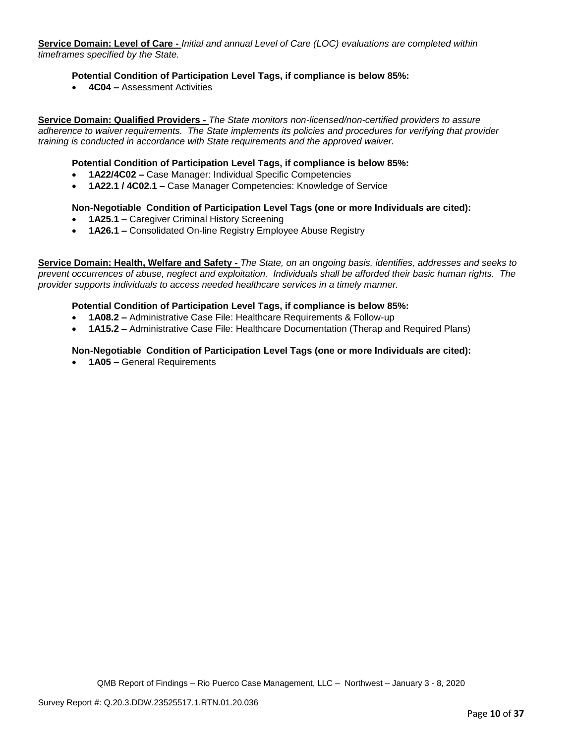**Service Domain: Level of Care -** *Initial and annual Level of Care (LOC) evaluations are completed within timeframes specified by the State.*

## **Potential Condition of Participation Level Tags, if compliance is below 85%:**

• **4C04 –** Assessment Activities

**Service Domain: Qualified Providers -** *The State monitors non-licensed/non-certified providers to assure adherence to waiver requirements. The State implements its policies and procedures for verifying that provider training is conducted in accordance with State requirements and the approved waiver.*

## **Potential Condition of Participation Level Tags, if compliance is below 85%:**

- **1A22/4C02 –** Case Manager: Individual Specific Competencies
- **1A22.1 / 4C02.1 –** Case Manager Competencies: Knowledge of Service

## **Non-Negotiable Condition of Participation Level Tags (one or more Individuals are cited):**

- **1A25.1 –** Caregiver Criminal History Screening
- **1A26.1 –** Consolidated On-line Registry Employee Abuse Registry

**Service Domain: Health, Welfare and Safety -** *The State, on an ongoing basis, identifies, addresses and seeks to prevent occurrences of abuse, neglect and exploitation. Individuals shall be afforded their basic human rights. The provider supports individuals to access needed healthcare services in a timely manner.*

## **Potential Condition of Participation Level Tags, if compliance is below 85%:**

- **1A08.2 –** Administrative Case File: Healthcare Requirements & Follow-up
- **1A15.2 –** Administrative Case File: Healthcare Documentation (Therap and Required Plans)

## **Non-Negotiable Condition of Participation Level Tags (one or more Individuals are cited):**

• **1A05 –** General Requirements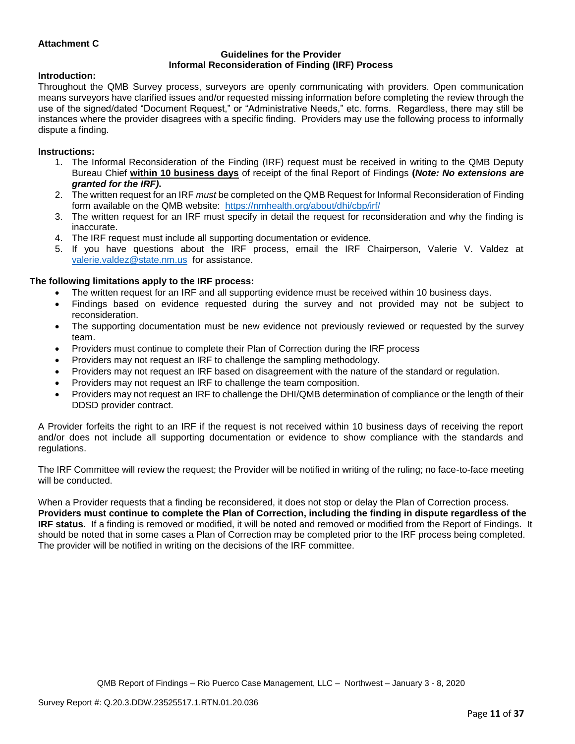## **Attachment C**

#### **Guidelines for the Provider Informal Reconsideration of Finding (IRF) Process**

#### **Introduction:**

Throughout the QMB Survey process, surveyors are openly communicating with providers. Open communication means surveyors have clarified issues and/or requested missing information before completing the review through the use of the signed/dated "Document Request," or "Administrative Needs," etc. forms. Regardless, there may still be instances where the provider disagrees with a specific finding. Providers may use the following process to informally dispute a finding.

#### **Instructions:**

- 1. The Informal Reconsideration of the Finding (IRF) request must be received in writing to the QMB Deputy Bureau Chief **within 10 business days** of receipt of the final Report of Findings **(***Note: No extensions are granted for the IRF)***.**
- 2. The written request for an IRF *must* be completed on the QMB Request for Informal Reconsideration of Finding form available on the QMB website: <https://nmhealth.org/about/dhi/cbp/irf/>
- 3. The written request for an IRF must specify in detail the request for reconsideration and why the finding is inaccurate.
- 4. The IRF request must include all supporting documentation or evidence.
- 5. If you have questions about the IRF process, email the IRF Chairperson, Valerie V. Valdez at [valerie.valdez@state.nm.us](mailto:valerie.valdez@state.nm.us) for assistance.

## **The following limitations apply to the IRF process:**

- The written request for an IRF and all supporting evidence must be received within 10 business days.
- Findings based on evidence requested during the survey and not provided may not be subject to reconsideration.
- The supporting documentation must be new evidence not previously reviewed or requested by the survey team.
- Providers must continue to complete their Plan of Correction during the IRF process
- Providers may not request an IRF to challenge the sampling methodology.
- Providers may not request an IRF based on disagreement with the nature of the standard or regulation.
- Providers may not request an IRF to challenge the team composition.
- Providers may not request an IRF to challenge the DHI/QMB determination of compliance or the length of their DDSD provider contract.

A Provider forfeits the right to an IRF if the request is not received within 10 business days of receiving the report and/or does not include all supporting documentation or evidence to show compliance with the standards and regulations.

The IRF Committee will review the request; the Provider will be notified in writing of the ruling; no face-to-face meeting will be conducted.

When a Provider requests that a finding be reconsidered, it does not stop or delay the Plan of Correction process. **Providers must continue to complete the Plan of Correction, including the finding in dispute regardless of the IRF status.** If a finding is removed or modified, it will be noted and removed or modified from the Report of Findings. It should be noted that in some cases a Plan of Correction may be completed prior to the IRF process being completed. The provider will be notified in writing on the decisions of the IRF committee.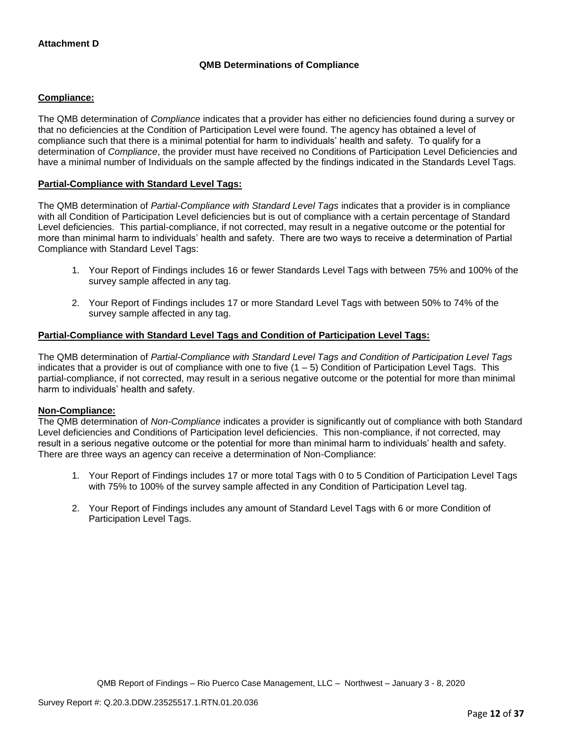# **QMB Determinations of Compliance**

## **Compliance:**

The QMB determination of *Compliance* indicates that a provider has either no deficiencies found during a survey or that no deficiencies at the Condition of Participation Level were found. The agency has obtained a level of compliance such that there is a minimal potential for harm to individuals' health and safety. To qualify for a determination of *Compliance*, the provider must have received no Conditions of Participation Level Deficiencies and have a minimal number of Individuals on the sample affected by the findings indicated in the Standards Level Tags.

## **Partial-Compliance with Standard Level Tags:**

The QMB determination of *Partial-Compliance with Standard Level Tags* indicates that a provider is in compliance with all Condition of Participation Level deficiencies but is out of compliance with a certain percentage of Standard Level deficiencies. This partial-compliance, if not corrected, may result in a negative outcome or the potential for more than minimal harm to individuals' health and safety. There are two ways to receive a determination of Partial Compliance with Standard Level Tags:

- 1. Your Report of Findings includes 16 or fewer Standards Level Tags with between 75% and 100% of the survey sample affected in any tag.
- 2. Your Report of Findings includes 17 or more Standard Level Tags with between 50% to 74% of the survey sample affected in any tag.

## **Partial-Compliance with Standard Level Tags and Condition of Participation Level Tags:**

The QMB determination of *Partial-Compliance with Standard Level Tags and Condition of Participation Level Tags*  indicates that a provider is out of compliance with one to five  $(1 - 5)$  Condition of Participation Level Tags. This partial-compliance, if not corrected, may result in a serious negative outcome or the potential for more than minimal harm to individuals' health and safety.

## **Non-Compliance:**

The QMB determination of *Non-Compliance* indicates a provider is significantly out of compliance with both Standard Level deficiencies and Conditions of Participation level deficiencies. This non-compliance, if not corrected, may result in a serious negative outcome or the potential for more than minimal harm to individuals' health and safety. There are three ways an agency can receive a determination of Non-Compliance:

- 1. Your Report of Findings includes 17 or more total Tags with 0 to 5 Condition of Participation Level Tags with 75% to 100% of the survey sample affected in any Condition of Participation Level tag.
- 2. Your Report of Findings includes any amount of Standard Level Tags with 6 or more Condition of Participation Level Tags.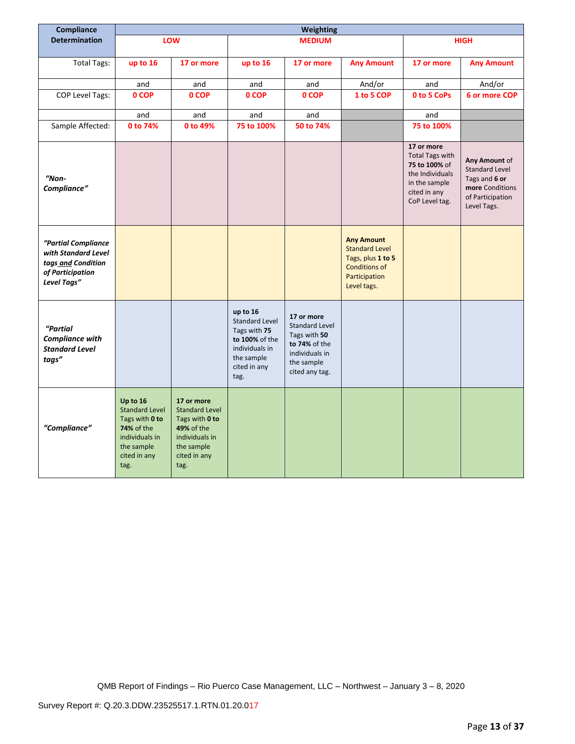| Compliance                                                                                          | Weighting                                                                                                                 |                                                                                                                                    |                                                                                                                             |                                                                                                                        |                                                                                                                         |                                                                                                                             |                                                                                                               |
|-----------------------------------------------------------------------------------------------------|---------------------------------------------------------------------------------------------------------------------------|------------------------------------------------------------------------------------------------------------------------------------|-----------------------------------------------------------------------------------------------------------------------------|------------------------------------------------------------------------------------------------------------------------|-------------------------------------------------------------------------------------------------------------------------|-----------------------------------------------------------------------------------------------------------------------------|---------------------------------------------------------------------------------------------------------------|
| <b>Determination</b>                                                                                |                                                                                                                           | LOW                                                                                                                                |                                                                                                                             | <b>MEDIUM</b>                                                                                                          |                                                                                                                         | <b>HIGH</b>                                                                                                                 |                                                                                                               |
|                                                                                                     |                                                                                                                           |                                                                                                                                    |                                                                                                                             |                                                                                                                        |                                                                                                                         |                                                                                                                             |                                                                                                               |
| <b>Total Tags:</b>                                                                                  | up to 16                                                                                                                  | 17 or more                                                                                                                         | up to 16                                                                                                                    | 17 or more                                                                                                             | <b>Any Amount</b>                                                                                                       | 17 or more                                                                                                                  | <b>Any Amount</b>                                                                                             |
|                                                                                                     | and                                                                                                                       | and                                                                                                                                | and                                                                                                                         | and                                                                                                                    | And/or                                                                                                                  | and                                                                                                                         | And/or                                                                                                        |
| COP Level Tags:                                                                                     | 0 COP                                                                                                                     | 0 COP                                                                                                                              | 0 COP                                                                                                                       | 0 COP                                                                                                                  | 1 to 5 COP                                                                                                              | 0 to 5 CoPs                                                                                                                 | 6 or more COP                                                                                                 |
|                                                                                                     | and                                                                                                                       | and                                                                                                                                | and                                                                                                                         | and                                                                                                                    |                                                                                                                         | and                                                                                                                         |                                                                                                               |
| Sample Affected:                                                                                    | 0 to 74%                                                                                                                  | 0 to 49%                                                                                                                           | 75 to 100%                                                                                                                  | 50 to 74%                                                                                                              |                                                                                                                         | 75 to 100%                                                                                                                  |                                                                                                               |
| "Non-<br>Compliance"                                                                                |                                                                                                                           |                                                                                                                                    |                                                                                                                             |                                                                                                                        |                                                                                                                         | 17 or more<br><b>Total Tags with</b><br>75 to 100% of<br>the Individuals<br>in the sample<br>cited in any<br>CoP Level tag. | Any Amount of<br><b>Standard Level</b><br>Tags and 6 or<br>more Conditions<br>of Participation<br>Level Tags. |
| "Partial Compliance<br>with Standard Level<br>tags and Condition<br>of Participation<br>Level Tags" |                                                                                                                           |                                                                                                                                    |                                                                                                                             |                                                                                                                        | <b>Any Amount</b><br><b>Standard Level</b><br>Tags, plus 1 to 5<br><b>Conditions of</b><br>Participation<br>Level tags. |                                                                                                                             |                                                                                                               |
| "Partial<br><b>Compliance with</b><br><b>Standard Level</b><br>tags"                                |                                                                                                                           |                                                                                                                                    | up to 16<br><b>Standard Level</b><br>Tags with 75<br>to 100% of the<br>individuals in<br>the sample<br>cited in any<br>tag. | 17 or more<br><b>Standard Level</b><br>Tags with 50<br>to 74% of the<br>individuals in<br>the sample<br>cited any tag. |                                                                                                                         |                                                                                                                             |                                                                                                               |
| "Compliance"                                                                                        | Up to 16<br><b>Standard Level</b><br>Tags with 0 to<br>74% of the<br>individuals in<br>the sample<br>cited in any<br>tag. | 17 or more<br><b>Standard Level</b><br>Tags with 0 to<br><b>49% of the</b><br>individuals in<br>the sample<br>cited in any<br>tag. |                                                                                                                             |                                                                                                                        |                                                                                                                         |                                                                                                                             |                                                                                                               |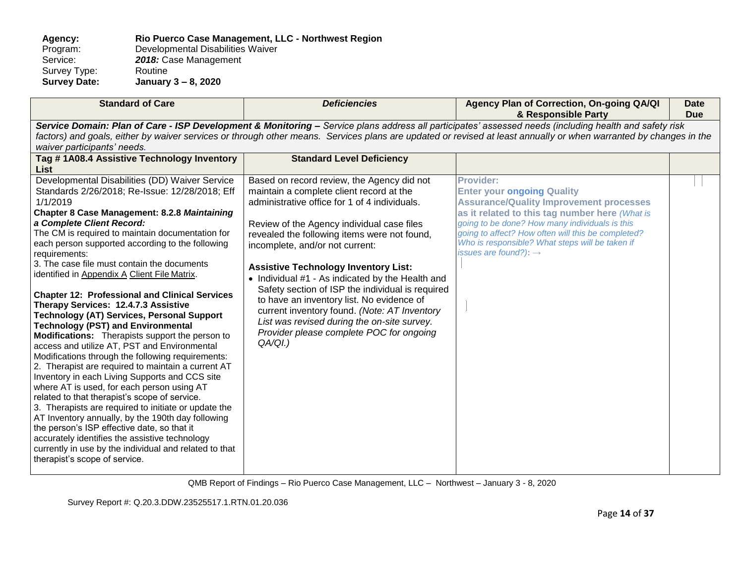**Agency: Rio Puerco Case Management, LLC - Northwest Region** Program: Developmental Disabilities Waiver<br>Service: 2018: Case Management 2018: Case Management<br>Routine Survey Type:<br>Survey Date: **Survey Date: January 3 – 8, 2020**

| Service Domain: Plan of Care - ISP Development & Monitoring - Service plans address all participates' assessed needs (including health and safety risk                                                                                                                                                                                                                                                                                                                                                                                                                                                                                                                                                                                                                                                                                                                                                                                                                                                                                                                                                                                                                                                                                                                                                                                                                                                                                                                                                                                                                                                                                                                                                                                                                                                                                                                                                                                                                                             |                                                                                                                                                                                                                                                                                                  |  |
|----------------------------------------------------------------------------------------------------------------------------------------------------------------------------------------------------------------------------------------------------------------------------------------------------------------------------------------------------------------------------------------------------------------------------------------------------------------------------------------------------------------------------------------------------------------------------------------------------------------------------------------------------------------------------------------------------------------------------------------------------------------------------------------------------------------------------------------------------------------------------------------------------------------------------------------------------------------------------------------------------------------------------------------------------------------------------------------------------------------------------------------------------------------------------------------------------------------------------------------------------------------------------------------------------------------------------------------------------------------------------------------------------------------------------------------------------------------------------------------------------------------------------------------------------------------------------------------------------------------------------------------------------------------------------------------------------------------------------------------------------------------------------------------------------------------------------------------------------------------------------------------------------------------------------------------------------------------------------------------------------|--------------------------------------------------------------------------------------------------------------------------------------------------------------------------------------------------------------------------------------------------------------------------------------------------|--|
| factors) and goals, either by waiver services or through other means. Services plans are updated or revised at least annually or when warranted by changes in the<br>waiver participants' needs.                                                                                                                                                                                                                                                                                                                                                                                                                                                                                                                                                                                                                                                                                                                                                                                                                                                                                                                                                                                                                                                                                                                                                                                                                                                                                                                                                                                                                                                                                                                                                                                                                                                                                                                                                                                                   |                                                                                                                                                                                                                                                                                                  |  |
| Tag #1A08.4 Assistive Technology Inventory<br><b>Standard Level Deficiency</b><br><b>List</b>                                                                                                                                                                                                                                                                                                                                                                                                                                                                                                                                                                                                                                                                                                                                                                                                                                                                                                                                                                                                                                                                                                                                                                                                                                                                                                                                                                                                                                                                                                                                                                                                                                                                                                                                                                                                                                                                                                      |                                                                                                                                                                                                                                                                                                  |  |
| Developmental Disabilities (DD) Waiver Service<br><b>Provider:</b><br>Based on record review, the Agency did not<br>Standards 2/26/2018; Re-Issue: 12/28/2018; Eff<br>maintain a complete client record at the<br>1/1/2019<br>administrative office for 1 of 4 individuals.<br>Chapter 8 Case Management: 8.2.8 Maintaining<br>a Complete Client Record:<br>Review of the Agency individual case files<br>The CM is required to maintain documentation for<br>revealed the following items were not found,<br>each person supported according to the following<br>incomplete, and/or not current:<br>issues are found?): $\rightarrow$<br>requirements:<br>3. The case file must contain the documents<br><b>Assistive Technology Inventory List:</b><br>identified in Appendix A Client File Matrix.<br>• Individual #1 - As indicated by the Health and<br>Safety section of ISP the individual is required<br><b>Chapter 12: Professional and Clinical Services</b><br>to have an inventory list. No evidence of<br>Therapy Services: 12.4.7.3 Assistive<br>current inventory found. (Note: AT Inventory<br><b>Technology (AT) Services, Personal Support</b><br>List was revised during the on-site survey.<br><b>Technology (PST) and Environmental</b><br>Provider please complete POC for ongoing<br><b>Modifications:</b> Therapists support the person to<br>QA/QI.)<br>access and utilize AT, PST and Environmental<br>Modifications through the following requirements:<br>2. Therapist are required to maintain a current AT<br>Inventory in each Living Supports and CCS site<br>where AT is used, for each person using AT<br>related to that therapist's scope of service.<br>3. Therapists are required to initiate or update the<br>AT Inventory annually, by the 190th day following<br>the person's ISP effective date, so that it<br>accurately identifies the assistive technology<br>currently in use by the individual and related to that<br>therapist's scope of service. | <b>Enter your ongoing Quality</b><br><b>Assurance/Quality Improvement processes</b><br>as it related to this tag number here (What is<br>going to be done? How many individuals is this<br>going to affect? How often will this be completed?<br>Who is responsible? What steps will be taken if |  |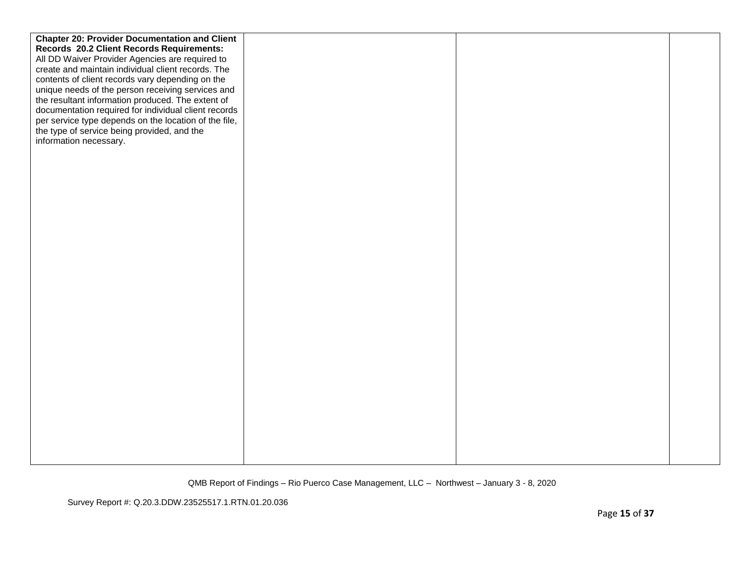| <b>Chapter 20: Provider Documentation and Client</b>  |  |  |
|-------------------------------------------------------|--|--|
| Records 20.2 Client Records Requirements:             |  |  |
| All DD Waiver Provider Agencies are required to       |  |  |
| create and maintain individual client records. The    |  |  |
| contents of client records vary depending on the      |  |  |
| unique needs of the person receiving services and     |  |  |
| the resultant information produced. The extent of     |  |  |
| documentation required for individual client records  |  |  |
| per service type depends on the location of the file, |  |  |
| the type of service being provided, and the           |  |  |
| information necessary.                                |  |  |
|                                                       |  |  |
|                                                       |  |  |
|                                                       |  |  |
|                                                       |  |  |
|                                                       |  |  |
|                                                       |  |  |
|                                                       |  |  |
|                                                       |  |  |
|                                                       |  |  |
|                                                       |  |  |
|                                                       |  |  |
|                                                       |  |  |
|                                                       |  |  |
|                                                       |  |  |
|                                                       |  |  |
|                                                       |  |  |
|                                                       |  |  |
|                                                       |  |  |
|                                                       |  |  |
|                                                       |  |  |
|                                                       |  |  |
|                                                       |  |  |
|                                                       |  |  |
|                                                       |  |  |
|                                                       |  |  |
|                                                       |  |  |
|                                                       |  |  |
|                                                       |  |  |
|                                                       |  |  |
|                                                       |  |  |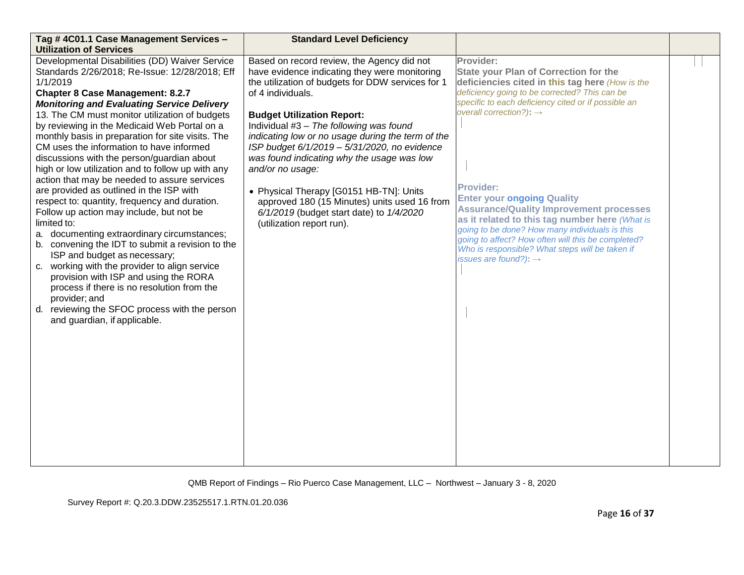| Tag # 4C01.1 Case Management Services -<br><b>Utilization of Services</b>                                                                                                                                                                                                                                                                                                                                                                                                                                                                                                                                                                                                                                                                                                                                                                                                                                                                                                                                                                                                                               | <b>Standard Level Deficiency</b>                                                                                                                                                                                                                                                                                                                                                                                                                                                                                                                                                                 |                                                                                                                                                                                                                                                                                                                                                                                                                                                                                                                                                                                                                          |  |
|---------------------------------------------------------------------------------------------------------------------------------------------------------------------------------------------------------------------------------------------------------------------------------------------------------------------------------------------------------------------------------------------------------------------------------------------------------------------------------------------------------------------------------------------------------------------------------------------------------------------------------------------------------------------------------------------------------------------------------------------------------------------------------------------------------------------------------------------------------------------------------------------------------------------------------------------------------------------------------------------------------------------------------------------------------------------------------------------------------|--------------------------------------------------------------------------------------------------------------------------------------------------------------------------------------------------------------------------------------------------------------------------------------------------------------------------------------------------------------------------------------------------------------------------------------------------------------------------------------------------------------------------------------------------------------------------------------------------|--------------------------------------------------------------------------------------------------------------------------------------------------------------------------------------------------------------------------------------------------------------------------------------------------------------------------------------------------------------------------------------------------------------------------------------------------------------------------------------------------------------------------------------------------------------------------------------------------------------------------|--|
| Developmental Disabilities (DD) Waiver Service<br>Standards 2/26/2018; Re-Issue: 12/28/2018; Eff<br>1/1/2019<br><b>Chapter 8 Case Management: 8.2.7</b><br><b>Monitoring and Evaluating Service Delivery</b><br>13. The CM must monitor utilization of budgets<br>by reviewing in the Medicaid Web Portal on a<br>monthly basis in preparation for site visits. The<br>CM uses the information to have informed<br>discussions with the person/guardian about<br>high or low utilization and to follow up with any<br>action that may be needed to assure services<br>are provided as outlined in the ISP with<br>respect to: quantity, frequency and duration.<br>Follow up action may include, but not be<br>limited to:<br>a. documenting extraordinary circumstances;<br>b. convening the IDT to submit a revision to the<br>ISP and budget as necessary;<br>c. working with the provider to align service<br>provision with ISP and using the RORA<br>process if there is no resolution from the<br>provider; and<br>d. reviewing the SFOC process with the person<br>and guardian, if applicable. | Based on record review, the Agency did not<br>have evidence indicating they were monitoring<br>the utilization of budgets for DDW services for 1<br>of 4 individuals.<br><b>Budget Utilization Report:</b><br>Individual #3 - The following was found<br>indicating low or no usage during the term of the<br>ISP budget 6/1/2019 - 5/31/2020, no evidence<br>was found indicating why the usage was low<br>and/or no usage:<br>• Physical Therapy [G0151 HB-TN]: Units<br>approved 180 (15 Minutes) units used 16 from<br>6/1/2019 (budget start date) to 1/4/2020<br>(utilization report run). | Provider:<br><b>State your Plan of Correction for the</b><br>deficiencies cited in this tag here (How is the<br>deficiency going to be corrected? This can be<br>specific to each deficiency cited or if possible an<br>overall correction?): $\rightarrow$<br><b>Provider:</b><br><b>Enter your ongoing Quality</b><br><b>Assurance/Quality Improvement processes</b><br>as it related to this tag number here (What is<br>going to be done? How many individuals is this<br>going to affect? How often will this be completed?<br>Who is responsible? What steps will be taken if<br>issues are found?): $\rightarrow$ |  |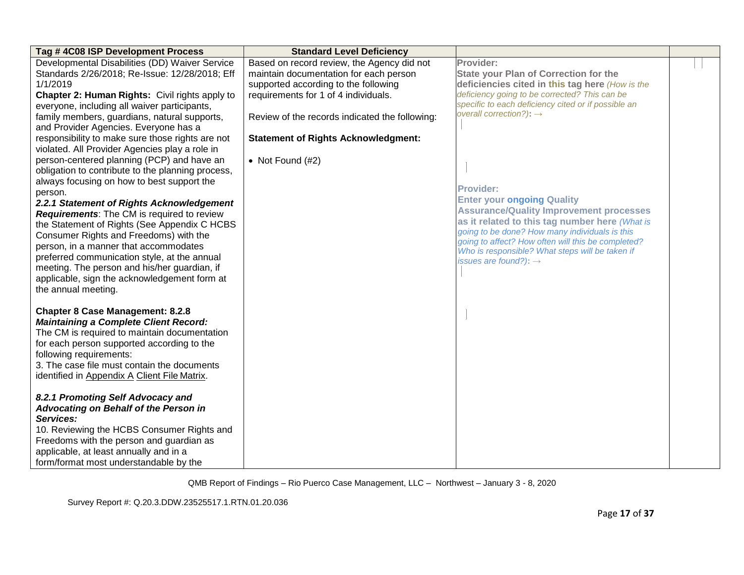| Tag #4C08 ISP Development Process                 | <b>Standard Level Deficiency</b>               |                                                     |  |
|---------------------------------------------------|------------------------------------------------|-----------------------------------------------------|--|
| Developmental Disabilities (DD) Waiver Service    | Based on record review, the Agency did not     | Provider:                                           |  |
| Standards 2/26/2018; Re-Issue: 12/28/2018; Eff    | maintain documentation for each person         | <b>State your Plan of Correction for the</b>        |  |
| 1/1/2019                                          | supported according to the following           | deficiencies cited in this tag here (How is the     |  |
| Chapter 2: Human Rights: Civil rights apply to    | requirements for 1 of 4 individuals.           | deficiency going to be corrected? This can be       |  |
| everyone, including all waiver participants,      |                                                | specific to each deficiency cited or if possible an |  |
| family members, guardians, natural supports,      | Review of the records indicated the following: | overall correction?): $\rightarrow$                 |  |
| and Provider Agencies. Everyone has a             |                                                |                                                     |  |
| responsibility to make sure those rights are not  | <b>Statement of Rights Acknowledgment:</b>     |                                                     |  |
| violated. All Provider Agencies play a role in    |                                                |                                                     |  |
| person-centered planning (PCP) and have an        | • Not Found $(H2)$                             |                                                     |  |
| obligation to contribute to the planning process, |                                                |                                                     |  |
| always focusing on how to best support the        |                                                |                                                     |  |
| person.                                           |                                                | <b>Provider:</b>                                    |  |
| 2.2.1 Statement of Rights Acknowledgement         |                                                | <b>Enter your ongoing Quality</b>                   |  |
| <b>Requirements:</b> The CM is required to review |                                                | <b>Assurance/Quality Improvement processes</b>      |  |
| the Statement of Rights (See Appendix C HCBS      |                                                | as it related to this tag number here (What is      |  |
| Consumer Rights and Freedoms) with the            |                                                | going to be done? How many individuals is this      |  |
| person, in a manner that accommodates             |                                                | going to affect? How often will this be completed?  |  |
| preferred communication style, at the annual      |                                                | Who is responsible? What steps will be taken if     |  |
| meeting. The person and his/her guardian, if      |                                                | issues are found?): $\rightarrow$                   |  |
| applicable, sign the acknowledgement form at      |                                                |                                                     |  |
| the annual meeting.                               |                                                |                                                     |  |
|                                                   |                                                |                                                     |  |
| <b>Chapter 8 Case Management: 8.2.8</b>           |                                                |                                                     |  |
| <b>Maintaining a Complete Client Record:</b>      |                                                |                                                     |  |
| The CM is required to maintain documentation      |                                                |                                                     |  |
| for each person supported according to the        |                                                |                                                     |  |
| following requirements:                           |                                                |                                                     |  |
| 3. The case file must contain the documents       |                                                |                                                     |  |
|                                                   |                                                |                                                     |  |
| identified in Appendix A Client File Matrix.      |                                                |                                                     |  |
| 8.2.1 Promoting Self Advocacy and                 |                                                |                                                     |  |
| Advocating on Behalf of the Person in             |                                                |                                                     |  |
| Services:                                         |                                                |                                                     |  |
| 10. Reviewing the HCBS Consumer Rights and        |                                                |                                                     |  |
| Freedoms with the person and guardian as          |                                                |                                                     |  |
| applicable, at least annually and in a            |                                                |                                                     |  |
|                                                   |                                                |                                                     |  |
| form/format most understandable by the            |                                                |                                                     |  |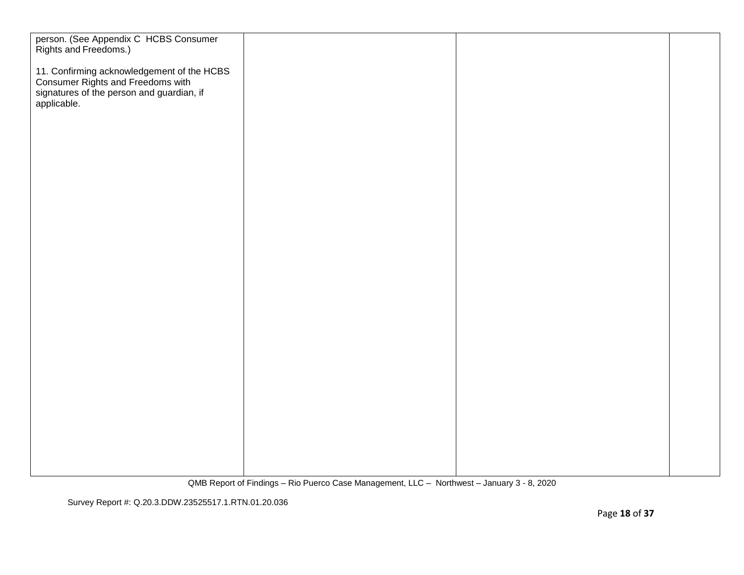| person. (See Appendix C HCBS Consumer<br>Rights and Freedoms.)                  |  |  |
|---------------------------------------------------------------------------------|--|--|
|                                                                                 |  |  |
|                                                                                 |  |  |
| 11. Confirming acknowledgement of the HCBS<br>Consumer Rights and Freedoms with |  |  |
|                                                                                 |  |  |
| signatures of the person and guardian, if                                       |  |  |
| applicable.                                                                     |  |  |
|                                                                                 |  |  |
|                                                                                 |  |  |
|                                                                                 |  |  |
|                                                                                 |  |  |
|                                                                                 |  |  |
|                                                                                 |  |  |
|                                                                                 |  |  |
|                                                                                 |  |  |
|                                                                                 |  |  |
|                                                                                 |  |  |
|                                                                                 |  |  |
|                                                                                 |  |  |
|                                                                                 |  |  |
|                                                                                 |  |  |
|                                                                                 |  |  |
|                                                                                 |  |  |
|                                                                                 |  |  |
|                                                                                 |  |  |
|                                                                                 |  |  |
|                                                                                 |  |  |
|                                                                                 |  |  |
|                                                                                 |  |  |
|                                                                                 |  |  |
|                                                                                 |  |  |
|                                                                                 |  |  |
|                                                                                 |  |  |
|                                                                                 |  |  |
|                                                                                 |  |  |
|                                                                                 |  |  |
|                                                                                 |  |  |
|                                                                                 |  |  |
|                                                                                 |  |  |
|                                                                                 |  |  |
|                                                                                 |  |  |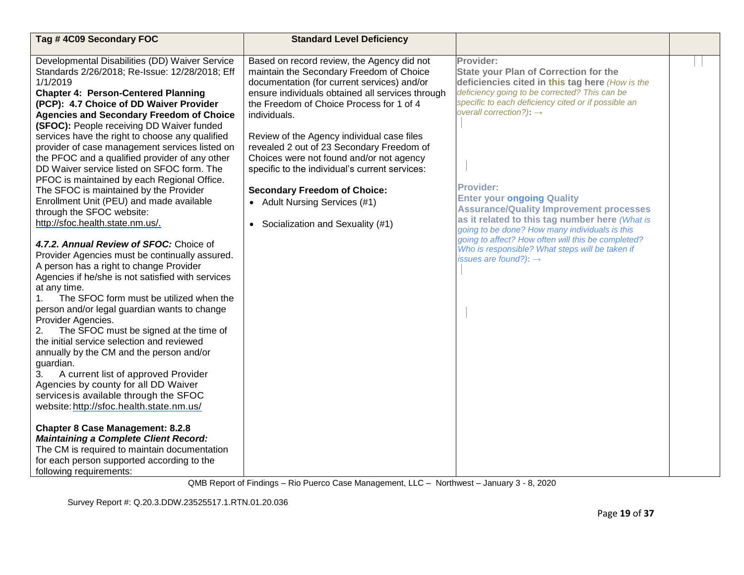| Tag #4C09 Secondary FOC                                                                                                                                                                                                                                                                                                                                                                                                                                                                                                                                                                                                                                                                                                                                                                                                                                                                                                                                                                                                                                                                                                                                                                                                                                                                                                                                                                                                                                                                                                                                                                              | <b>Standard Level Deficiency</b>                                                                                                                                                                                                                                                                                                                                                                                                                                                                                                                                        |                                                                                                                                                                                                                                                                                                                                                                                                                                                                                                                                                                                                                          |  |
|------------------------------------------------------------------------------------------------------------------------------------------------------------------------------------------------------------------------------------------------------------------------------------------------------------------------------------------------------------------------------------------------------------------------------------------------------------------------------------------------------------------------------------------------------------------------------------------------------------------------------------------------------------------------------------------------------------------------------------------------------------------------------------------------------------------------------------------------------------------------------------------------------------------------------------------------------------------------------------------------------------------------------------------------------------------------------------------------------------------------------------------------------------------------------------------------------------------------------------------------------------------------------------------------------------------------------------------------------------------------------------------------------------------------------------------------------------------------------------------------------------------------------------------------------------------------------------------------------|-------------------------------------------------------------------------------------------------------------------------------------------------------------------------------------------------------------------------------------------------------------------------------------------------------------------------------------------------------------------------------------------------------------------------------------------------------------------------------------------------------------------------------------------------------------------------|--------------------------------------------------------------------------------------------------------------------------------------------------------------------------------------------------------------------------------------------------------------------------------------------------------------------------------------------------------------------------------------------------------------------------------------------------------------------------------------------------------------------------------------------------------------------------------------------------------------------------|--|
| Developmental Disabilities (DD) Waiver Service<br>Standards 2/26/2018; Re-Issue: 12/28/2018; Eff<br>1/1/2019<br><b>Chapter 4: Person-Centered Planning</b><br>(PCP): 4.7 Choice of DD Waiver Provider<br><b>Agencies and Secondary Freedom of Choice</b><br>(SFOC): People receiving DD Waiver funded<br>services have the right to choose any qualified<br>provider of case management services listed on<br>the PFOC and a qualified provider of any other<br>DD Waiver service listed on SFOC form. The<br>PFOC is maintained by each Regional Office.<br>The SFOC is maintained by the Provider<br>Enrollment Unit (PEU) and made available<br>through the SFOC website:<br>http://sfoc.health.state.nm.us/.<br>4.7.2. Annual Review of SFOC: Choice of<br>Provider Agencies must be continually assured.<br>A person has a right to change Provider<br>Agencies if he/she is not satisfied with services<br>at any time.<br>The SFOC form must be utilized when the<br>person and/or legal guardian wants to change<br>Provider Agencies.<br>The SFOC must be signed at the time of<br>2.<br>the initial service selection and reviewed<br>annually by the CM and the person and/or<br>guardian.<br>A current list of approved Provider<br>3.<br>Agencies by county for all DD Waiver<br>services is available through the SFOC<br>website: http://sfoc.health.state.nm.us/<br><b>Chapter 8 Case Management: 8.2.8</b><br><b>Maintaining a Complete Client Record:</b><br>The CM is required to maintain documentation<br>for each person supported according to the<br>following requirements: | Based on record review, the Agency did not<br>maintain the Secondary Freedom of Choice<br>documentation (for current services) and/or<br>ensure individuals obtained all services through<br>the Freedom of Choice Process for 1 of 4<br>individuals.<br>Review of the Agency individual case files<br>revealed 2 out of 23 Secondary Freedom of<br>Choices were not found and/or not agency<br>specific to the individual's current services:<br><b>Secondary Freedom of Choice:</b><br>• Adult Nursing Services (#1)<br>Socialization and Sexuality (#1)<br>$\bullet$ | Provider:<br><b>State your Plan of Correction for the</b><br>deficiencies cited in this tag here (How is the<br>deficiency going to be corrected? This can be<br>specific to each deficiency cited or if possible an<br>overall correction?): $\rightarrow$<br><b>Provider:</b><br><b>Enter your ongoing Quality</b><br><b>Assurance/Quality Improvement processes</b><br>as it related to this tag number here (What is<br>going to be done? How many individuals is this<br>going to affect? How often will this be completed?<br>Who is responsible? What steps will be taken if<br>issues are found?): $\rightarrow$ |  |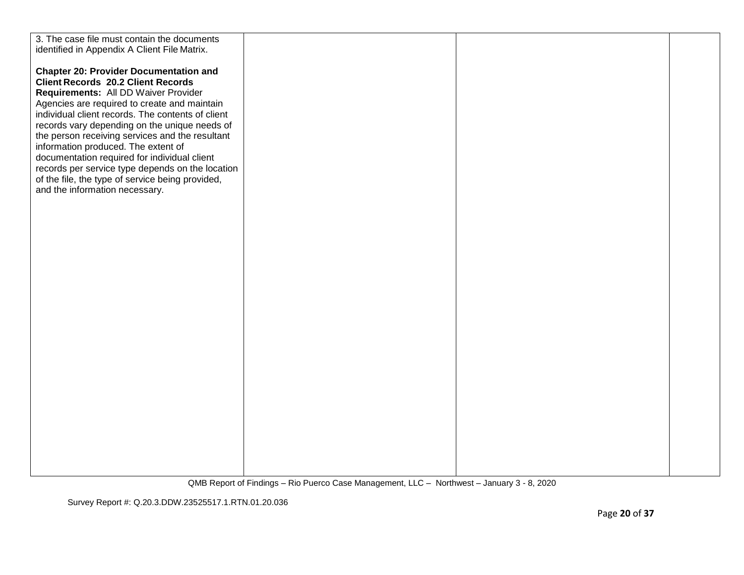| 3. The case file must contain the documents       |  |  |
|---------------------------------------------------|--|--|
| identified in Appendix A Client File Matrix.      |  |  |
|                                                   |  |  |
| <b>Chapter 20: Provider Documentation and</b>     |  |  |
| <b>Client Records 20.2 Client Records</b>         |  |  |
| Requirements: All DD Waiver Provider              |  |  |
| Agencies are required to create and maintain      |  |  |
| individual client records. The contents of client |  |  |
|                                                   |  |  |
| records vary depending on the unique needs of     |  |  |
| the person receiving services and the resultant   |  |  |
| information produced. The extent of               |  |  |
| documentation required for individual client      |  |  |
| records per service type depends on the location  |  |  |
| of the file, the type of service being provided,  |  |  |
| and the information necessary.                    |  |  |
|                                                   |  |  |
|                                                   |  |  |
|                                                   |  |  |
|                                                   |  |  |
|                                                   |  |  |
|                                                   |  |  |
|                                                   |  |  |
|                                                   |  |  |
|                                                   |  |  |
|                                                   |  |  |
|                                                   |  |  |
|                                                   |  |  |
|                                                   |  |  |
|                                                   |  |  |
|                                                   |  |  |
|                                                   |  |  |
|                                                   |  |  |
|                                                   |  |  |
|                                                   |  |  |
|                                                   |  |  |
|                                                   |  |  |
|                                                   |  |  |
|                                                   |  |  |
|                                                   |  |  |
|                                                   |  |  |
|                                                   |  |  |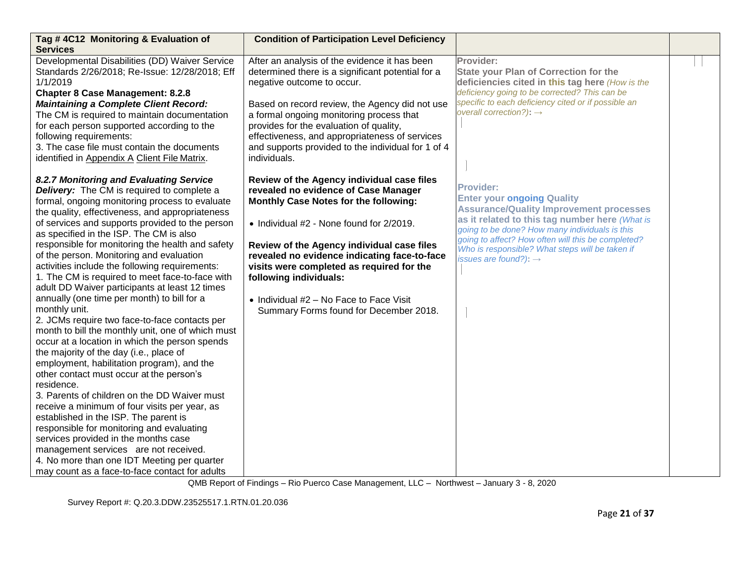| Tag #4C12 Monitoring & Evaluation of<br><b>Services</b>                                                                                                                                                                                                                                                                                                                                                                                                                                                                                                                                                                                                                                                                                                                                                                                                                                                                                                                                                                                                                                                                                                                                                                                                                                                    | <b>Condition of Participation Level Deficiency</b>                                                                                                                                                                                                                                                                                                                                                                                |                                                                                                                                                                                                                                                                                                                                                           |  |
|------------------------------------------------------------------------------------------------------------------------------------------------------------------------------------------------------------------------------------------------------------------------------------------------------------------------------------------------------------------------------------------------------------------------------------------------------------------------------------------------------------------------------------------------------------------------------------------------------------------------------------------------------------------------------------------------------------------------------------------------------------------------------------------------------------------------------------------------------------------------------------------------------------------------------------------------------------------------------------------------------------------------------------------------------------------------------------------------------------------------------------------------------------------------------------------------------------------------------------------------------------------------------------------------------------|-----------------------------------------------------------------------------------------------------------------------------------------------------------------------------------------------------------------------------------------------------------------------------------------------------------------------------------------------------------------------------------------------------------------------------------|-----------------------------------------------------------------------------------------------------------------------------------------------------------------------------------------------------------------------------------------------------------------------------------------------------------------------------------------------------------|--|
| Developmental Disabilities (DD) Waiver Service<br>Standards 2/26/2018; Re-Issue: 12/28/2018; Eff<br>1/1/2019<br><b>Chapter 8 Case Management: 8.2.8</b><br><b>Maintaining a Complete Client Record:</b><br>The CM is required to maintain documentation<br>for each person supported according to the<br>following requirements:<br>3. The case file must contain the documents<br>identified in Appendix A Client File Matrix.                                                                                                                                                                                                                                                                                                                                                                                                                                                                                                                                                                                                                                                                                                                                                                                                                                                                            | After an analysis of the evidence it has been<br>determined there is a significant potential for a<br>negative outcome to occur.<br>Based on record review, the Agency did not use<br>a formal ongoing monitoring process that<br>provides for the evaluation of quality,<br>effectiveness, and appropriateness of services<br>and supports provided to the individual for 1 of 4<br>individuals.                                 | Provider:<br><b>State your Plan of Correction for the</b><br>deficiencies cited in this tag here (How is the<br>deficiency going to be corrected? This can be<br>specific to each deficiency cited or if possible an<br>overall correction?): $\rightarrow$                                                                                               |  |
| 8.2.7 Monitoring and Evaluating Service<br><b>Delivery:</b> The CM is required to complete a<br>formal, ongoing monitoring process to evaluate<br>the quality, effectiveness, and appropriateness<br>of services and supports provided to the person<br>as specified in the ISP. The CM is also<br>responsible for monitoring the health and safety<br>of the person. Monitoring and evaluation<br>activities include the following requirements:<br>1. The CM is required to meet face-to-face with<br>adult DD Waiver participants at least 12 times<br>annually (one time per month) to bill for a<br>monthly unit.<br>2. JCMs require two face-to-face contacts per<br>month to bill the monthly unit, one of which must<br>occur at a location in which the person spends<br>the majority of the day (i.e., place of<br>employment, habilitation program), and the<br>other contact must occur at the person's<br>residence.<br>3. Parents of children on the DD Waiver must<br>receive a minimum of four visits per year, as<br>established in the ISP. The parent is<br>responsible for monitoring and evaluating<br>services provided in the months case<br>management services are not received.<br>4. No more than one IDT Meeting per quarter<br>may count as a face-to-face contact for adults | Review of the Agency individual case files<br>revealed no evidence of Case Manager<br>Monthly Case Notes for the following:<br>• Individual #2 - None found for 2/2019.<br>Review of the Agency individual case files<br>revealed no evidence indicating face-to-face<br>visits were completed as required for the<br>following individuals:<br>• Individual #2 - No Face to Face Visit<br>Summary Forms found for December 2018. | <b>Provider:</b><br><b>Enter your ongoing Quality</b><br><b>Assurance/Quality Improvement processes</b><br>as it related to this tag number here (What is<br>going to be done? How many individuals is this<br>going to affect? How often will this be completed?<br>Who is responsible? What steps will be taken if<br>issues are found?): $\rightarrow$ |  |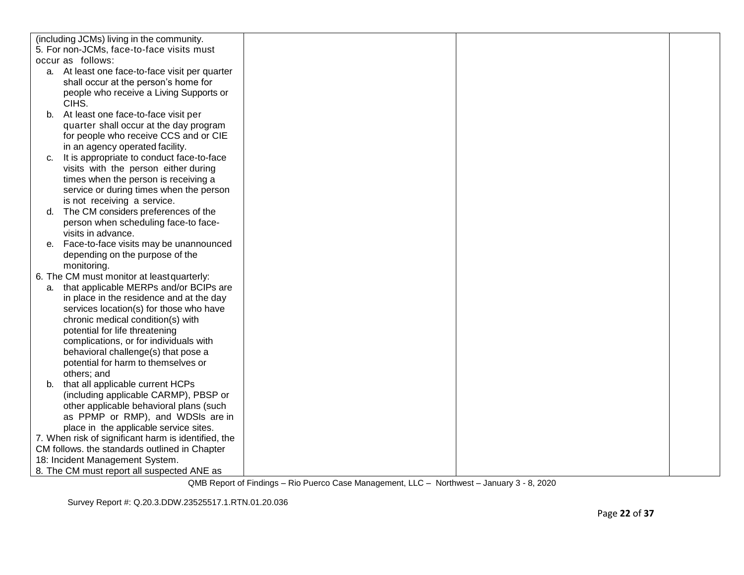|    | (including JCMs) living in the community.           |  |  |
|----|-----------------------------------------------------|--|--|
|    | 5. For non-JCMs, face-to-face visits must           |  |  |
|    | occur as follows:                                   |  |  |
|    | a. At least one face-to-face visit per quarter      |  |  |
|    | shall occur at the person's home for                |  |  |
|    | people who receive a Living Supports or             |  |  |
|    | CIHS.                                               |  |  |
| b. | At least one face-to-face visit per                 |  |  |
|    | quarter shall occur at the day program              |  |  |
|    | for people who receive CCS and or CIE               |  |  |
|    | in an agency operated facility.                     |  |  |
| C. | It is appropriate to conduct face-to-face           |  |  |
|    | visits with the person either during                |  |  |
|    | times when the person is receiving a                |  |  |
|    | service or during times when the person             |  |  |
|    | is not receiving a service.                         |  |  |
| d. | The CM considers preferences of the                 |  |  |
|    | person when scheduling face-to face-                |  |  |
|    | visits in advance.                                  |  |  |
| е. | Face-to-face visits may be unannounced              |  |  |
|    | depending on the purpose of the                     |  |  |
|    | monitoring.                                         |  |  |
|    | 6. The CM must monitor at least quarterly:          |  |  |
| a. | that applicable MERPs and/or BCIPs are              |  |  |
|    | in place in the residence and at the day            |  |  |
|    | services location(s) for those who have             |  |  |
|    | chronic medical condition(s) with                   |  |  |
|    | potential for life threatening                      |  |  |
|    | complications, or for individuals with              |  |  |
|    | behavioral challenge(s) that pose a                 |  |  |
|    | potential for harm to themselves or                 |  |  |
|    | others; and                                         |  |  |
| b. | that all applicable current HCPs                    |  |  |
|    | (including applicable CARMP), PBSP or               |  |  |
|    | other applicable behavioral plans (such             |  |  |
|    | as PPMP or RMP), and WDSIs are in                   |  |  |
|    | place in the applicable service sites.              |  |  |
|    | 7. When risk of significant harm is identified, the |  |  |
|    | CM follows. the standards outlined in Chapter       |  |  |
|    | 18: Incident Management System.                     |  |  |
|    | 8. The CM must report all suspected ANE as          |  |  |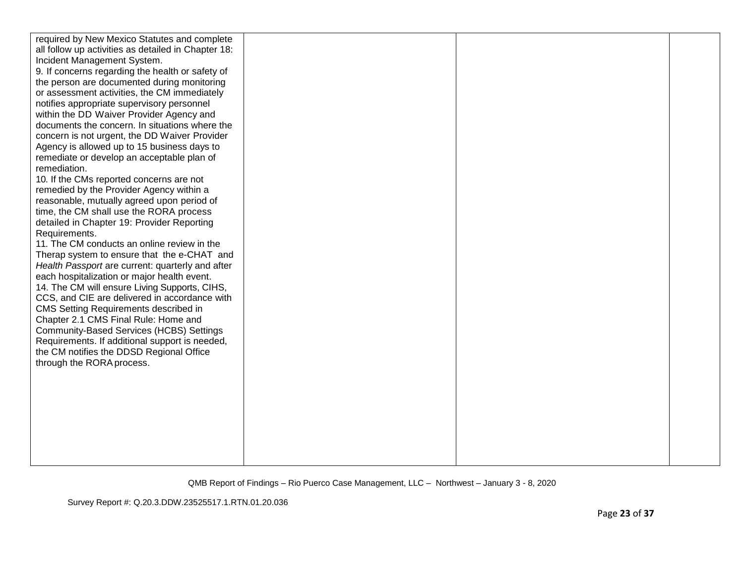| required by New Mexico Statutes and complete<br>all follow up activities as detailed in Chapter 18:<br>Incident Management System.<br>9. If concerns regarding the health or safety of<br>the person are documented during monitoring<br>or assessment activities, the CM immediately<br>notifies appropriate supervisory personnel<br>within the DD Waiver Provider Agency and<br>documents the concern. In situations where the<br>concern is not urgent, the DD Waiver Provider<br>Agency is allowed up to 15 business days to<br>remediate or develop an acceptable plan of<br>remediation.                                                                                                                                                                                                         |  |  |
|---------------------------------------------------------------------------------------------------------------------------------------------------------------------------------------------------------------------------------------------------------------------------------------------------------------------------------------------------------------------------------------------------------------------------------------------------------------------------------------------------------------------------------------------------------------------------------------------------------------------------------------------------------------------------------------------------------------------------------------------------------------------------------------------------------|--|--|
| 10. If the CMs reported concerns are not<br>remedied by the Provider Agency within a<br>reasonable, mutually agreed upon period of<br>time, the CM shall use the RORA process<br>detailed in Chapter 19: Provider Reporting<br>Requirements.<br>11. The CM conducts an online review in the<br>Therap system to ensure that the e-CHAT and<br>Health Passport are current: quarterly and after<br>each hospitalization or major health event.<br>14. The CM will ensure Living Supports, CIHS,<br>CCS, and CIE are delivered in accordance with<br>CMS Setting Requirements described in<br>Chapter 2.1 CMS Final Rule: Home and<br>Community-Based Services (HCBS) Settings<br>Requirements. If additional support is needed,<br>the CM notifies the DDSD Regional Office<br>through the RORA process. |  |  |
|                                                                                                                                                                                                                                                                                                                                                                                                                                                                                                                                                                                                                                                                                                                                                                                                         |  |  |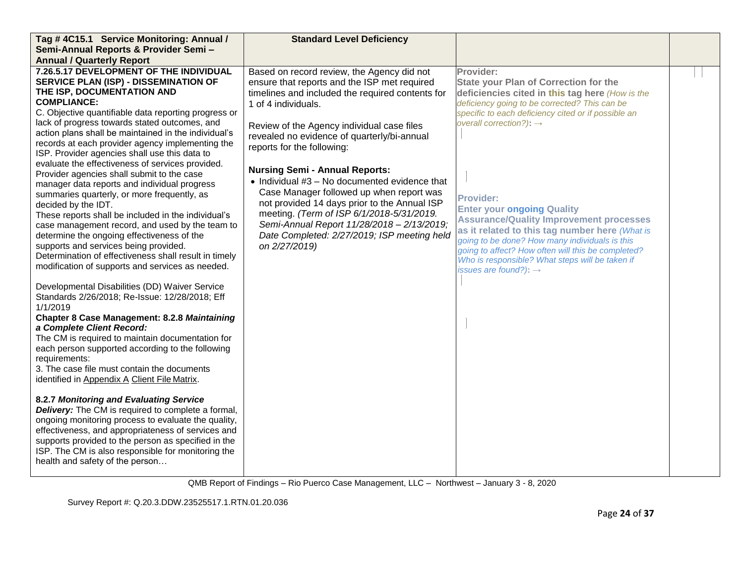| Tag #4C15.1 Service Monitoring: Annual /                                                                                                                                                                                                                                                                                                                                                                                                                                                                                                                                                                                                                                                                                                                                                                                                                                                                                                                       | <b>Standard Level Deficiency</b>                                                                                                                                                                                                                                                                                                                      |                                                                                                                                                                                                                                                                                                                                                           |  |
|----------------------------------------------------------------------------------------------------------------------------------------------------------------------------------------------------------------------------------------------------------------------------------------------------------------------------------------------------------------------------------------------------------------------------------------------------------------------------------------------------------------------------------------------------------------------------------------------------------------------------------------------------------------------------------------------------------------------------------------------------------------------------------------------------------------------------------------------------------------------------------------------------------------------------------------------------------------|-------------------------------------------------------------------------------------------------------------------------------------------------------------------------------------------------------------------------------------------------------------------------------------------------------------------------------------------------------|-----------------------------------------------------------------------------------------------------------------------------------------------------------------------------------------------------------------------------------------------------------------------------------------------------------------------------------------------------------|--|
| Semi-Annual Reports & Provider Semi -                                                                                                                                                                                                                                                                                                                                                                                                                                                                                                                                                                                                                                                                                                                                                                                                                                                                                                                          |                                                                                                                                                                                                                                                                                                                                                       |                                                                                                                                                                                                                                                                                                                                                           |  |
| <b>Annual / Quarterly Report</b>                                                                                                                                                                                                                                                                                                                                                                                                                                                                                                                                                                                                                                                                                                                                                                                                                                                                                                                               |                                                                                                                                                                                                                                                                                                                                                       |                                                                                                                                                                                                                                                                                                                                                           |  |
| 7.26.5.17 DEVELOPMENT OF THE INDIVIDUAL<br>SERVICE PLAN (ISP) - DISSEMINATION OF<br>THE ISP, DOCUMENTATION AND<br><b>COMPLIANCE:</b><br>C. Objective quantifiable data reporting progress or<br>lack of progress towards stated outcomes, and<br>action plans shall be maintained in the individual's<br>records at each provider agency implementing the<br>ISP. Provider agencies shall use this data to                                                                                                                                                                                                                                                                                                                                                                                                                                                                                                                                                     | Based on record review, the Agency did not<br>ensure that reports and the ISP met required<br>timelines and included the required contents for<br>1 of 4 individuals.<br>Review of the Agency individual case files<br>revealed no evidence of quarterly/bi-annual<br>reports for the following:                                                      | Provider:<br><b>State your Plan of Correction for the</b><br>deficiencies cited in this tag here (How is the<br>deficiency going to be corrected? This can be<br>specific to each deficiency cited or if possible an<br>overall correction?): $\rightarrow$                                                                                               |  |
| evaluate the effectiveness of services provided.<br>Provider agencies shall submit to the case<br>manager data reports and individual progress<br>summaries quarterly, or more frequently, as<br>decided by the IDT.<br>These reports shall be included in the individual's<br>case management record, and used by the team to<br>determine the ongoing effectiveness of the<br>supports and services being provided.<br>Determination of effectiveness shall result in timely<br>modification of supports and services as needed.<br>Developmental Disabilities (DD) Waiver Service<br>Standards 2/26/2018; Re-Issue: 12/28/2018; Eff<br>1/1/2019<br><b>Chapter 8 Case Management: 8.2.8 Maintaining</b><br>a Complete Client Record:<br>The CM is required to maintain documentation for<br>each person supported according to the following<br>requirements:<br>3. The case file must contain the documents<br>identified in Appendix A Client File Matrix. | <b>Nursing Semi - Annual Reports:</b><br>$\bullet$ Individual #3 – No documented evidence that<br>Case Manager followed up when report was<br>not provided 14 days prior to the Annual ISP<br>meeting. (Term of ISP 6/1/2018-5/31/2019.<br>Semi-Annual Report 11/28/2018 - 2/13/2019;<br>Date Completed: 2/27/2019; ISP meeting held<br>on 2/27/2019) | <b>Provider:</b><br><b>Enter your ongoing Quality</b><br><b>Assurance/Quality Improvement processes</b><br>as it related to this tag number here (What is<br>going to be done? How many individuals is this<br>going to affect? How often will this be completed?<br>Who is responsible? What steps will be taken if<br>issues are found?): $\rightarrow$ |  |
| 8.2.7 Monitoring and Evaluating Service<br>Delivery: The CM is required to complete a formal,<br>ongoing monitoring process to evaluate the quality,<br>effectiveness, and appropriateness of services and<br>supports provided to the person as specified in the<br>ISP. The CM is also responsible for monitoring the<br>health and safety of the person                                                                                                                                                                                                                                                                                                                                                                                                                                                                                                                                                                                                     |                                                                                                                                                                                                                                                                                                                                                       |                                                                                                                                                                                                                                                                                                                                                           |  |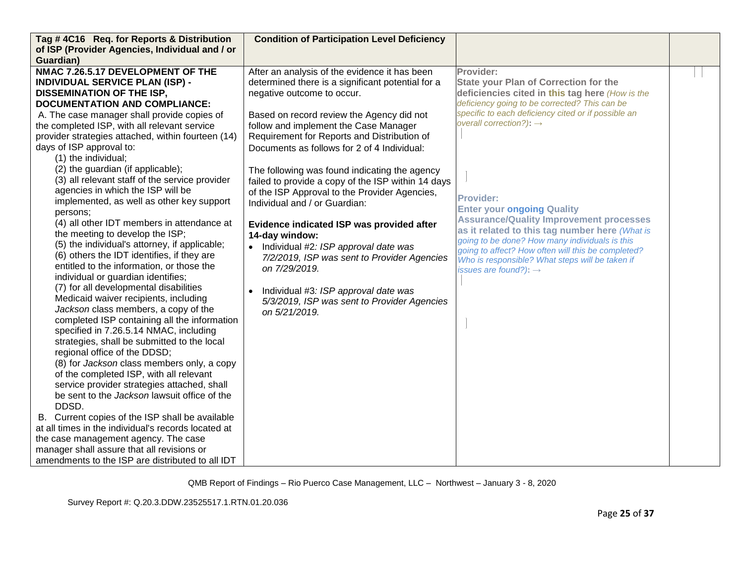| Tag #4C16 Req. for Reports & Distribution           | <b>Condition of Participation Level Deficiency</b> |                                                                                                      |  |
|-----------------------------------------------------|----------------------------------------------------|------------------------------------------------------------------------------------------------------|--|
| of ISP (Provider Agencies, Individual and / or      |                                                    |                                                                                                      |  |
| Guardian)                                           |                                                    |                                                                                                      |  |
| NMAC 7.26.5.17 DEVELOPMENT OF THE                   | After an analysis of the evidence it has been      | Provider:                                                                                            |  |
| <b>INDIVIDUAL SERVICE PLAN (ISP) -</b>              | determined there is a significant potential for a  | <b>State your Plan of Correction for the</b>                                                         |  |
| <b>DISSEMINATION OF THE ISP,</b>                    | negative outcome to occur.                         | deficiencies cited in this tag here (How is the                                                      |  |
| <b>DOCUMENTATION AND COMPLIANCE:</b>                |                                                    | deficiency going to be corrected? This can be                                                        |  |
| A. The case manager shall provide copies of         | Based on record review the Agency did not          | specific to each deficiency cited or if possible an                                                  |  |
| the completed ISP, with all relevant service        | follow and implement the Case Manager              | overall correction?): $\rightarrow$                                                                  |  |
| provider strategies attached, within fourteen (14)  | Requirement for Reports and Distribution of        |                                                                                                      |  |
| days of ISP approval to:                            | Documents as follows for 2 of 4 Individual:        |                                                                                                      |  |
| (1) the individual;                                 |                                                    |                                                                                                      |  |
| (2) the guardian (if applicable);                   | The following was found indicating the agency      |                                                                                                      |  |
| (3) all relevant staff of the service provider      | failed to provide a copy of the ISP within 14 days |                                                                                                      |  |
| agencies in which the ISP will be                   | of the ISP Approval to the Provider Agencies,      |                                                                                                      |  |
| implemented, as well as other key support           | Individual and / or Guardian:                      | <b>Provider:</b>                                                                                     |  |
| persons:                                            |                                                    | <b>Enter your ongoing Quality</b>                                                                    |  |
| (4) all other IDT members in attendance at          | Evidence indicated ISP was provided after          | <b>Assurance/Quality Improvement processes</b>                                                       |  |
| the meeting to develop the ISP;                     | 14-day window:                                     | as it related to this tag number here (What is                                                       |  |
| (5) the individual's attorney, if applicable;       | • Individual #2: ISP approval date was             | going to be done? How many individuals is this<br>going to affect? How often will this be completed? |  |
| (6) others the IDT identifies, if they are          | 7/2/2019, ISP was sent to Provider Agencies        | Who is responsible? What steps will be taken if                                                      |  |
| entitled to the information, or those the           | on 7/29/2019.                                      | issues are found?): $\rightarrow$                                                                    |  |
| individual or guardian identifies;                  |                                                    |                                                                                                      |  |
| (7) for all developmental disabilities              | Individual #3: ISP approval date was<br>$\bullet$  |                                                                                                      |  |
| Medicaid waiver recipients, including               | 5/3/2019, ISP was sent to Provider Agencies        |                                                                                                      |  |
| Jackson class members, a copy of the                | on 5/21/2019.                                      |                                                                                                      |  |
| completed ISP containing all the information        |                                                    |                                                                                                      |  |
| specified in 7.26.5.14 NMAC, including              |                                                    |                                                                                                      |  |
| strategies, shall be submitted to the local         |                                                    |                                                                                                      |  |
| regional office of the DDSD;                        |                                                    |                                                                                                      |  |
| (8) for Jackson class members only, a copy          |                                                    |                                                                                                      |  |
| of the completed ISP, with all relevant             |                                                    |                                                                                                      |  |
| service provider strategies attached, shall         |                                                    |                                                                                                      |  |
| be sent to the Jackson lawsuit office of the        |                                                    |                                                                                                      |  |
| DDSD.                                               |                                                    |                                                                                                      |  |
| B. Current copies of the ISP shall be available     |                                                    |                                                                                                      |  |
| at all times in the individual's records located at |                                                    |                                                                                                      |  |
| the case management agency. The case                |                                                    |                                                                                                      |  |
| manager shall assure that all revisions or          |                                                    |                                                                                                      |  |
| amendments to the ISP are distributed to all IDT    |                                                    |                                                                                                      |  |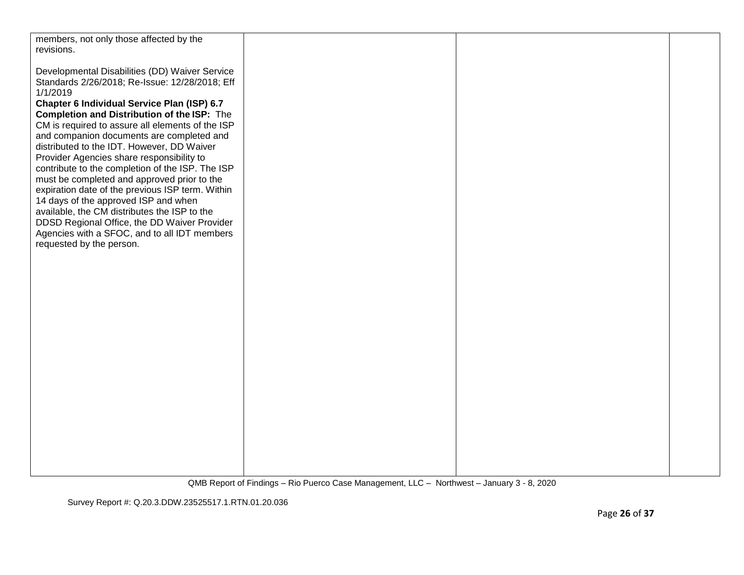| members, not only those affected by the          |  |  |
|--------------------------------------------------|--|--|
|                                                  |  |  |
| revisions.                                       |  |  |
|                                                  |  |  |
| Developmental Disabilities (DD) Waiver Service   |  |  |
| Standards 2/26/2018; Re-Issue: 12/28/2018; Eff   |  |  |
|                                                  |  |  |
| 1/1/2019                                         |  |  |
| Chapter 6 Individual Service Plan (ISP) 6.7      |  |  |
| Completion and Distribution of the ISP: The      |  |  |
|                                                  |  |  |
| CM is required to assure all elements of the ISP |  |  |
| and companion documents are completed and        |  |  |
| distributed to the IDT. However, DD Waiver       |  |  |
| Provider Agencies share responsibility to        |  |  |
| contribute to the completion of the ISP. The ISP |  |  |
|                                                  |  |  |
| must be completed and approved prior to the      |  |  |
| expiration date of the previous ISP term. Within |  |  |
| 14 days of the approved ISP and when             |  |  |
| available, the CM distributes the ISP to the     |  |  |
|                                                  |  |  |
| DDSD Regional Office, the DD Waiver Provider     |  |  |
| Agencies with a SFOC, and to all IDT members     |  |  |
| requested by the person.                         |  |  |
|                                                  |  |  |
|                                                  |  |  |
|                                                  |  |  |
|                                                  |  |  |
|                                                  |  |  |
|                                                  |  |  |
|                                                  |  |  |
|                                                  |  |  |
|                                                  |  |  |
|                                                  |  |  |
|                                                  |  |  |
|                                                  |  |  |
|                                                  |  |  |
|                                                  |  |  |
|                                                  |  |  |
|                                                  |  |  |
|                                                  |  |  |
|                                                  |  |  |
|                                                  |  |  |
|                                                  |  |  |
|                                                  |  |  |
|                                                  |  |  |
|                                                  |  |  |
|                                                  |  |  |
|                                                  |  |  |
|                                                  |  |  |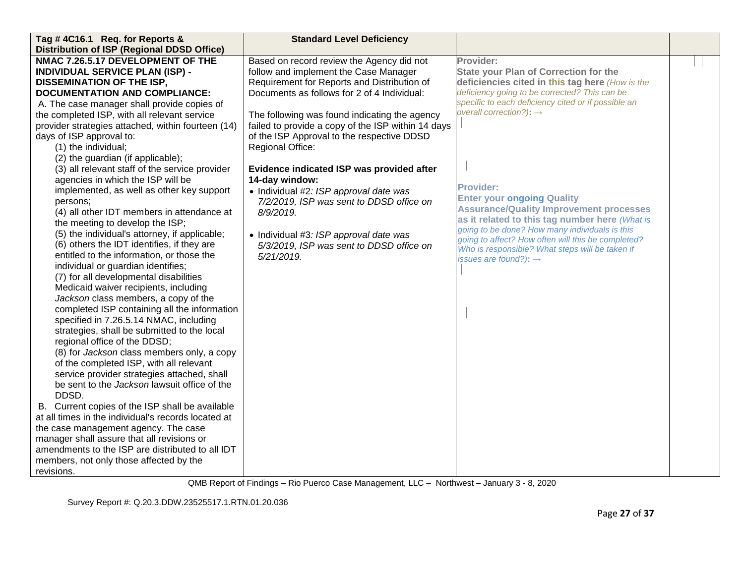| Tag #4C16.1 Req. for Reports &                      | <b>Standard Level Deficiency</b>                   |                                                                                                      |  |
|-----------------------------------------------------|----------------------------------------------------|------------------------------------------------------------------------------------------------------|--|
| <b>Distribution of ISP (Regional DDSD Office)</b>   |                                                    |                                                                                                      |  |
| NMAC 7.26.5.17 DEVELOPMENT OF THE                   | Based on record review the Agency did not          | Provider:                                                                                            |  |
| <b>INDIVIDUAL SERVICE PLAN (ISP) -</b>              | follow and implement the Case Manager              | <b>State your Plan of Correction for the</b>                                                         |  |
| <b>DISSEMINATION OF THE ISP,</b>                    | Requirement for Reports and Distribution of        | deficiencies cited in this tag here (How is the                                                      |  |
| <b>DOCUMENTATION AND COMPLIANCE:</b>                | Documents as follows for 2 of 4 Individual:        | deficiency going to be corrected? This can be                                                        |  |
| A. The case manager shall provide copies of         |                                                    | specific to each deficiency cited or if possible an                                                  |  |
| the completed ISP, with all relevant service        | The following was found indicating the agency      | overall correction?): $\rightarrow$                                                                  |  |
| provider strategies attached, within fourteen (14)  | failed to provide a copy of the ISP within 14 days |                                                                                                      |  |
| days of ISP approval to:                            | of the ISP Approval to the respective DDSD         |                                                                                                      |  |
| (1) the individual;                                 | Regional Office:                                   |                                                                                                      |  |
| (2) the guardian (if applicable);                   |                                                    |                                                                                                      |  |
| (3) all relevant staff of the service provider      | Evidence indicated ISP was provided after          |                                                                                                      |  |
| agencies in which the ISP will be                   | 14-day window:                                     |                                                                                                      |  |
| implemented, as well as other key support           | • Individual #2: ISP approval date was             | <b>Provider:</b>                                                                                     |  |
| persons;                                            | 7/2/2019, ISP was sent to DDSD office on           | <b>Enter your ongoing Quality</b>                                                                    |  |
| (4) all other IDT members in attendance at          | 8/9/2019.                                          | <b>Assurance/Quality Improvement processes</b>                                                       |  |
| the meeting to develop the ISP;                     |                                                    | as it related to this tag number here (What is                                                       |  |
| (5) the individual's attorney, if applicable;       | • Individual #3: ISP approval date was             | going to be done? How many individuals is this<br>going to affect? How often will this be completed? |  |
| (6) others the IDT identifies, if they are          | 5/3/2019, ISP was sent to DDSD office on           | Who is responsible? What steps will be taken if                                                      |  |
| entitled to the information, or those the           | 5/21/2019.                                         | issues are found?): $\rightarrow$                                                                    |  |
| individual or guardian identifies;                  |                                                    |                                                                                                      |  |
| (7) for all developmental disabilities              |                                                    |                                                                                                      |  |
| Medicaid waiver recipients, including               |                                                    |                                                                                                      |  |
| Jackson class members, a copy of the                |                                                    |                                                                                                      |  |
| completed ISP containing all the information        |                                                    |                                                                                                      |  |
| specified in 7.26.5.14 NMAC, including              |                                                    |                                                                                                      |  |
| strategies, shall be submitted to the local         |                                                    |                                                                                                      |  |
| regional office of the DDSD;                        |                                                    |                                                                                                      |  |
| (8) for Jackson class members only, a copy          |                                                    |                                                                                                      |  |
| of the completed ISP, with all relevant             |                                                    |                                                                                                      |  |
| service provider strategies attached, shall         |                                                    |                                                                                                      |  |
| be sent to the Jackson lawsuit office of the        |                                                    |                                                                                                      |  |
| DDSD.                                               |                                                    |                                                                                                      |  |
| B. Current copies of the ISP shall be available     |                                                    |                                                                                                      |  |
| at all times in the individual's records located at |                                                    |                                                                                                      |  |
| the case management agency. The case                |                                                    |                                                                                                      |  |
| manager shall assure that all revisions or          |                                                    |                                                                                                      |  |
| amendments to the ISP are distributed to all IDT    |                                                    |                                                                                                      |  |
| members, not only those affected by the             |                                                    |                                                                                                      |  |
| revisions.                                          |                                                    |                                                                                                      |  |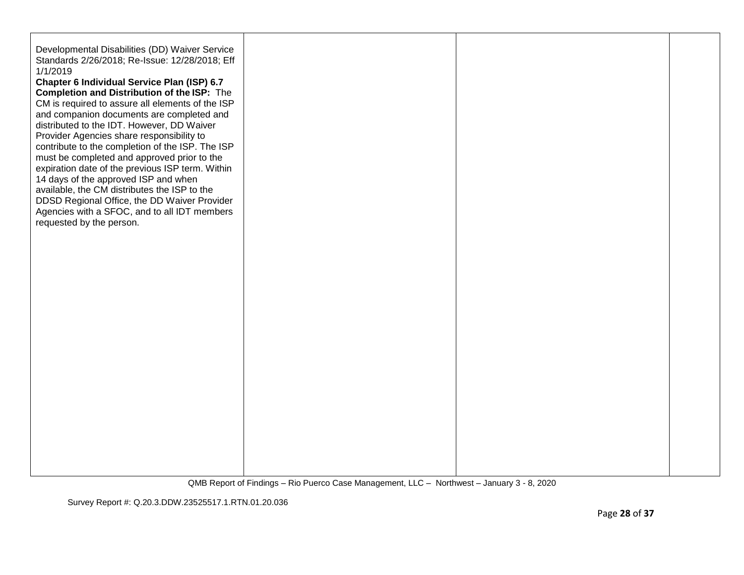| Developmental Disabilities (DD) Waiver Service<br>Standards 2/26/2018; Re-Issue: 12/28/2018; Eff<br>1/1/2019<br>Chapter 6 Individual Service Plan (ISP) 6.7<br>Completion and Distribution of the ISP: The<br>CM is required to assure all elements of the ISP<br>and companion documents are completed and<br>distributed to the IDT. However, DD Waiver<br>Provider Agencies share responsibility to<br>contribute to the completion of the ISP. The ISP<br>must be completed and approved prior to the<br>expiration date of the previous ISP term. Within<br>14 days of the approved ISP and when<br>available, the CM distributes the ISP to the<br>DDSD Regional Office, the DD Waiver Provider<br>Agencies with a SFOC, and to all IDT members<br>requested by the person. |  |  |
|-----------------------------------------------------------------------------------------------------------------------------------------------------------------------------------------------------------------------------------------------------------------------------------------------------------------------------------------------------------------------------------------------------------------------------------------------------------------------------------------------------------------------------------------------------------------------------------------------------------------------------------------------------------------------------------------------------------------------------------------------------------------------------------|--|--|
|                                                                                                                                                                                                                                                                                                                                                                                                                                                                                                                                                                                                                                                                                                                                                                                   |  |  |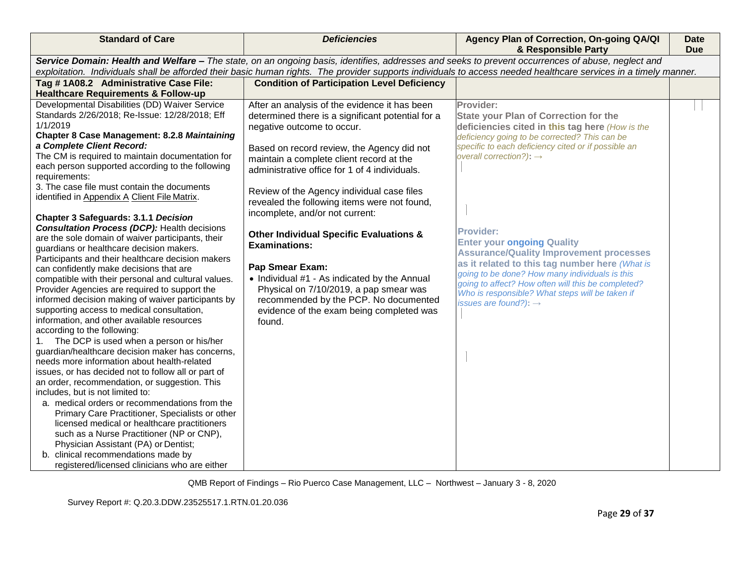| <b>Standard of Care</b>                                                                                                                                                                                                                                                                                                                                                                                                                                                                                                                                                                                                                                                                                                                                                                                                                                                                                                                                                                                                                                                                                                                                                                                                                                                                                                                                                                                                                                                                                                                                                                     | <b>Deficiencies</b>                                                                                                                                                                                                                                                                                                                                                                                                                                                                                                                                                                                                                                                                                    | Agency Plan of Correction, On-going QA/QI<br>& Responsible Party                                                                                                                                                                                                                                                                                                                                                                                                                                                                                                                                                         | <b>Date</b><br><b>Due</b> |  |
|---------------------------------------------------------------------------------------------------------------------------------------------------------------------------------------------------------------------------------------------------------------------------------------------------------------------------------------------------------------------------------------------------------------------------------------------------------------------------------------------------------------------------------------------------------------------------------------------------------------------------------------------------------------------------------------------------------------------------------------------------------------------------------------------------------------------------------------------------------------------------------------------------------------------------------------------------------------------------------------------------------------------------------------------------------------------------------------------------------------------------------------------------------------------------------------------------------------------------------------------------------------------------------------------------------------------------------------------------------------------------------------------------------------------------------------------------------------------------------------------------------------------------------------------------------------------------------------------|--------------------------------------------------------------------------------------------------------------------------------------------------------------------------------------------------------------------------------------------------------------------------------------------------------------------------------------------------------------------------------------------------------------------------------------------------------------------------------------------------------------------------------------------------------------------------------------------------------------------------------------------------------------------------------------------------------|--------------------------------------------------------------------------------------------------------------------------------------------------------------------------------------------------------------------------------------------------------------------------------------------------------------------------------------------------------------------------------------------------------------------------------------------------------------------------------------------------------------------------------------------------------------------------------------------------------------------------|---------------------------|--|
| Service Domain: Health and Welfare - The state, on an ongoing basis, identifies, addresses and seeks to prevent occurrences of abuse, neglect and                                                                                                                                                                                                                                                                                                                                                                                                                                                                                                                                                                                                                                                                                                                                                                                                                                                                                                                                                                                                                                                                                                                                                                                                                                                                                                                                                                                                                                           |                                                                                                                                                                                                                                                                                                                                                                                                                                                                                                                                                                                                                                                                                                        |                                                                                                                                                                                                                                                                                                                                                                                                                                                                                                                                                                                                                          |                           |  |
| exploitation. Individuals shall be afforded their basic human rights. The provider supports individuals to access needed healthcare services in a timely manner.                                                                                                                                                                                                                                                                                                                                                                                                                                                                                                                                                                                                                                                                                                                                                                                                                                                                                                                                                                                                                                                                                                                                                                                                                                                                                                                                                                                                                            |                                                                                                                                                                                                                                                                                                                                                                                                                                                                                                                                                                                                                                                                                                        |                                                                                                                                                                                                                                                                                                                                                                                                                                                                                                                                                                                                                          |                           |  |
| Tag #1A08.2 Administrative Case File:                                                                                                                                                                                                                                                                                                                                                                                                                                                                                                                                                                                                                                                                                                                                                                                                                                                                                                                                                                                                                                                                                                                                                                                                                                                                                                                                                                                                                                                                                                                                                       | <b>Condition of Participation Level Deficiency</b>                                                                                                                                                                                                                                                                                                                                                                                                                                                                                                                                                                                                                                                     |                                                                                                                                                                                                                                                                                                                                                                                                                                                                                                                                                                                                                          |                           |  |
| <b>Healthcare Requirements &amp; Follow-up</b>                                                                                                                                                                                                                                                                                                                                                                                                                                                                                                                                                                                                                                                                                                                                                                                                                                                                                                                                                                                                                                                                                                                                                                                                                                                                                                                                                                                                                                                                                                                                              |                                                                                                                                                                                                                                                                                                                                                                                                                                                                                                                                                                                                                                                                                                        |                                                                                                                                                                                                                                                                                                                                                                                                                                                                                                                                                                                                                          |                           |  |
| Developmental Disabilities (DD) Waiver Service<br>Standards 2/26/2018; Re-Issue: 12/28/2018; Eff<br>1/1/2019<br>Chapter 8 Case Management: 8.2.8 Maintaining<br>a Complete Client Record:<br>The CM is required to maintain documentation for<br>each person supported according to the following<br>requirements:<br>3. The case file must contain the documents<br>identified in Appendix A Client File Matrix.<br>Chapter 3 Safeguards: 3.1.1 Decision<br><b>Consultation Process (DCP): Health decisions</b><br>are the sole domain of waiver participants, their<br>guardians or healthcare decision makers.<br>Participants and their healthcare decision makers<br>can confidently make decisions that are<br>compatible with their personal and cultural values.<br>Provider Agencies are required to support the<br>informed decision making of waiver participants by<br>supporting access to medical consultation,<br>information, and other available resources<br>according to the following:<br>The DCP is used when a person or his/her<br>1.<br>guardian/healthcare decision maker has concerns,<br>needs more information about health-related<br>issues, or has decided not to follow all or part of<br>an order, recommendation, or suggestion. This<br>includes, but is not limited to:<br>a. medical orders or recommendations from the<br>Primary Care Practitioner, Specialists or other<br>licensed medical or healthcare practitioners<br>such as a Nurse Practitioner (NP or CNP),<br>Physician Assistant (PA) or Dentist;<br>b. clinical recommendations made by | After an analysis of the evidence it has been<br>determined there is a significant potential for a<br>negative outcome to occur.<br>Based on record review, the Agency did not<br>maintain a complete client record at the<br>administrative office for 1 of 4 individuals.<br>Review of the Agency individual case files<br>revealed the following items were not found,<br>incomplete, and/or not current:<br><b>Other Individual Specific Evaluations &amp;</b><br><b>Examinations:</b><br>Pap Smear Exam:<br>• Individual #1 - As indicated by the Annual<br>Physical on 7/10/2019, a pap smear was<br>recommended by the PCP. No documented<br>evidence of the exam being completed was<br>found. | Provider:<br><b>State your Plan of Correction for the</b><br>deficiencies cited in this tag here (How is the<br>deficiency going to be corrected? This can be<br>specific to each deficiency cited or if possible an<br>overall correction?): $\rightarrow$<br><b>Provider:</b><br><b>Enter your ongoing Quality</b><br><b>Assurance/Quality Improvement processes</b><br>as it related to this tag number here (What is<br>going to be done? How many individuals is this<br>going to affect? How often will this be completed?<br>Who is responsible? What steps will be taken if<br>issues are found?): $\rightarrow$ |                           |  |
| registered/licensed clinicians who are either                                                                                                                                                                                                                                                                                                                                                                                                                                                                                                                                                                                                                                                                                                                                                                                                                                                                                                                                                                                                                                                                                                                                                                                                                                                                                                                                                                                                                                                                                                                                               |                                                                                                                                                                                                                                                                                                                                                                                                                                                                                                                                                                                                                                                                                                        |                                                                                                                                                                                                                                                                                                                                                                                                                                                                                                                                                                                                                          |                           |  |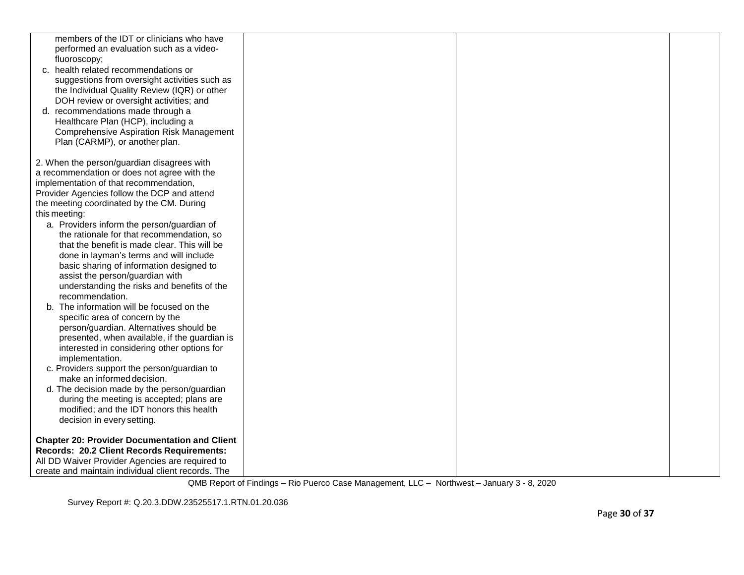| members of the IDT or clinicians who have            |  |  |
|------------------------------------------------------|--|--|
| performed an evaluation such as a video-             |  |  |
| fluoroscopy;                                         |  |  |
| c. health related recommendations or                 |  |  |
| suggestions from oversight activities such as        |  |  |
| the Individual Quality Review (IQR) or other         |  |  |
| DOH review or oversight activities; and              |  |  |
| d. recommendations made through a                    |  |  |
| Healthcare Plan (HCP), including a                   |  |  |
| <b>Comprehensive Aspiration Risk Management</b>      |  |  |
| Plan (CARMP), or another plan.                       |  |  |
| 2. When the person/guardian disagrees with           |  |  |
| a recommendation or does not agree with the          |  |  |
| implementation of that recommendation,               |  |  |
| Provider Agencies follow the DCP and attend          |  |  |
| the meeting coordinated by the CM. During            |  |  |
| this meeting:                                        |  |  |
| a. Providers inform the person/guardian of           |  |  |
| the rationale for that recommendation, so            |  |  |
| that the benefit is made clear. This will be         |  |  |
| done in layman's terms and will include              |  |  |
| basic sharing of information designed to             |  |  |
| assist the person/guardian with                      |  |  |
| understanding the risks and benefits of the          |  |  |
| recommendation.                                      |  |  |
| b. The information will be focused on the            |  |  |
| specific area of concern by the                      |  |  |
| person/guardian. Alternatives should be              |  |  |
| presented, when available, if the guardian is        |  |  |
| interested in considering other options for          |  |  |
| implementation.                                      |  |  |
| c. Providers support the person/guardian to          |  |  |
| make an informed decision.                           |  |  |
| d. The decision made by the person/guardian          |  |  |
| during the meeting is accepted; plans are            |  |  |
| modified; and the IDT honors this health             |  |  |
| decision in every setting.                           |  |  |
| <b>Chapter 20: Provider Documentation and Client</b> |  |  |
| Records: 20.2 Client Records Requirements:           |  |  |
| All DD Waiver Provider Agencies are required to      |  |  |
| create and maintain individual client records. The   |  |  |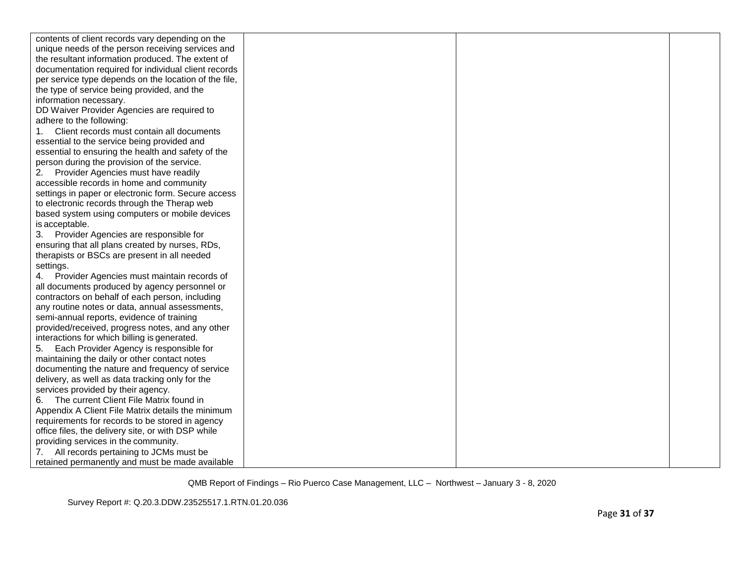| contents of client records vary depending on the      |  |  |
|-------------------------------------------------------|--|--|
| unique needs of the person receiving services and     |  |  |
| the resultant information produced. The extent of     |  |  |
| documentation required for individual client records  |  |  |
| per service type depends on the location of the file, |  |  |
| the type of service being provided, and the           |  |  |
| information necessary.                                |  |  |
| DD Waiver Provider Agencies are required to           |  |  |
| adhere to the following:                              |  |  |
| Client records must contain all documents             |  |  |
| essential to the service being provided and           |  |  |
| essential to ensuring the health and safety of the    |  |  |
| person during the provision of the service.           |  |  |
| 2. Provider Agencies must have readily                |  |  |
| accessible records in home and community              |  |  |
| settings in paper or electronic form. Secure access   |  |  |
| to electronic records through the Therap web          |  |  |
| based system using computers or mobile devices        |  |  |
| is acceptable.                                        |  |  |
| 3. Provider Agencies are responsible for              |  |  |
| ensuring that all plans created by nurses, RDs,       |  |  |
| therapists or BSCs are present in all needed          |  |  |
| settings.                                             |  |  |
| 4. Provider Agencies must maintain records of         |  |  |
| all documents produced by agency personnel or         |  |  |
| contractors on behalf of each person, including       |  |  |
| any routine notes or data, annual assessments,        |  |  |
| semi-annual reports, evidence of training             |  |  |
| provided/received, progress notes, and any other      |  |  |
| interactions for which billing is generated.          |  |  |
| Each Provider Agency is responsible for<br>5.         |  |  |
| maintaining the daily or other contact notes          |  |  |
| documenting the nature and frequency of service       |  |  |
| delivery, as well as data tracking only for the       |  |  |
| services provided by their agency.                    |  |  |
| 6. The current Client File Matrix found in            |  |  |
| Appendix A Client File Matrix details the minimum     |  |  |
| requirements for records to be stored in agency       |  |  |
| office files, the delivery site, or with DSP while    |  |  |
| providing services in the community.                  |  |  |
| 7. All records pertaining to JCMs must be             |  |  |
| retained permanently and must be made available       |  |  |
|                                                       |  |  |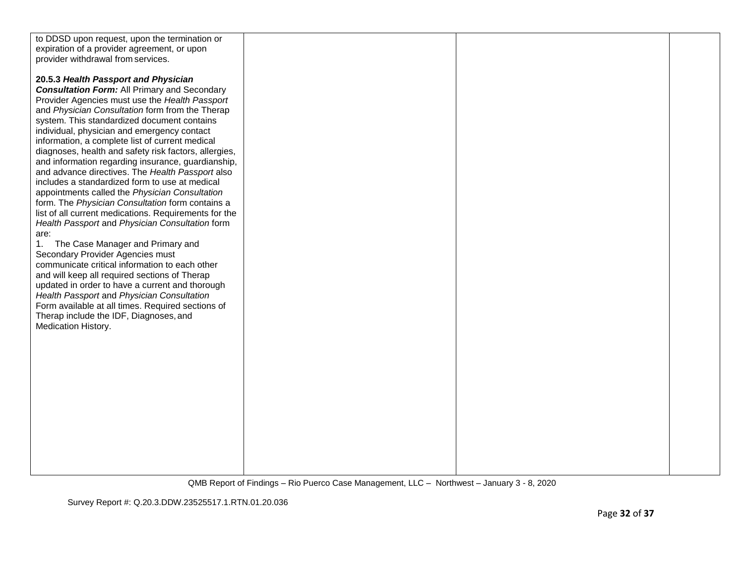| to DDSD upon request, upon the termination or         |  |  |
|-------------------------------------------------------|--|--|
| expiration of a provider agreement, or upon           |  |  |
| provider withdrawal from services.                    |  |  |
|                                                       |  |  |
| 20.5.3 Health Passport and Physician                  |  |  |
|                                                       |  |  |
| <b>Consultation Form:</b> All Primary and Secondary   |  |  |
| Provider Agencies must use the Health Passport        |  |  |
| and Physician Consultation form from the Therap       |  |  |
| system. This standardized document contains           |  |  |
| individual, physician and emergency contact           |  |  |
| information, a complete list of current medical       |  |  |
| diagnoses, health and safety risk factors, allergies, |  |  |
| and information regarding insurance, guardianship,    |  |  |
| and advance directives. The Health Passport also      |  |  |
| includes a standardized form to use at medical        |  |  |
| appointments called the Physician Consultation        |  |  |
| form. The Physician Consultation form contains a      |  |  |
| list of all current medications. Requirements for the |  |  |
| Health Passport and Physician Consultation form       |  |  |
| are:                                                  |  |  |
| 1. The Case Manager and Primary and                   |  |  |
| Secondary Provider Agencies must                      |  |  |
| communicate critical information to each other        |  |  |
| and will keep all required sections of Therap         |  |  |
| updated in order to have a current and thorough       |  |  |
| Health Passport and Physician Consultation            |  |  |
| Form available at all times. Required sections of     |  |  |
| Therap include the IDF, Diagnoses, and                |  |  |
| Medication History.                                   |  |  |
|                                                       |  |  |
|                                                       |  |  |
|                                                       |  |  |
|                                                       |  |  |
|                                                       |  |  |
|                                                       |  |  |
|                                                       |  |  |
|                                                       |  |  |
|                                                       |  |  |
|                                                       |  |  |
|                                                       |  |  |
|                                                       |  |  |
|                                                       |  |  |
|                                                       |  |  |
|                                                       |  |  |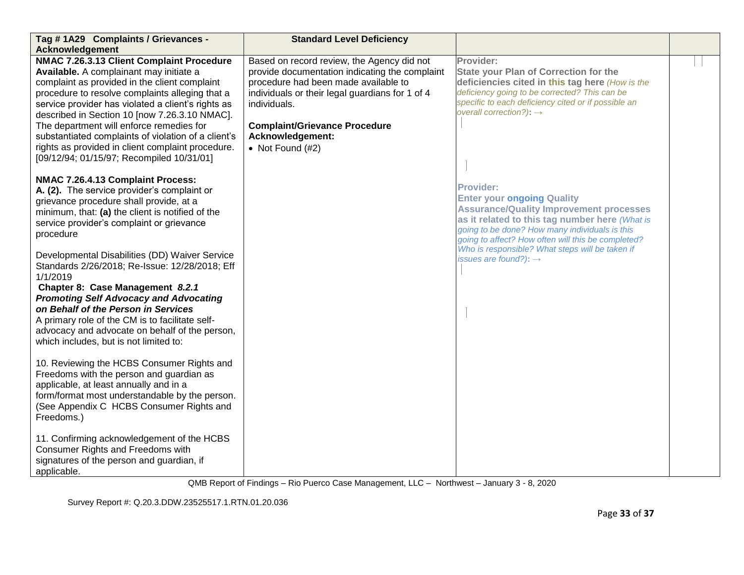| Tag # 1A29 Complaints / Grievances -<br>Acknowledgement                                                                                                                                                                                                                                                                                                                                                                                                                                                                                                                                                                                                                                                                                                                                                                                                                                                                                                                                                                             | <b>Standard Level Deficiency</b>                                                                                                                                                                                                                                                          |                                                                                                                                                                                                                                                                                                                                                           |  |
|-------------------------------------------------------------------------------------------------------------------------------------------------------------------------------------------------------------------------------------------------------------------------------------------------------------------------------------------------------------------------------------------------------------------------------------------------------------------------------------------------------------------------------------------------------------------------------------------------------------------------------------------------------------------------------------------------------------------------------------------------------------------------------------------------------------------------------------------------------------------------------------------------------------------------------------------------------------------------------------------------------------------------------------|-------------------------------------------------------------------------------------------------------------------------------------------------------------------------------------------------------------------------------------------------------------------------------------------|-----------------------------------------------------------------------------------------------------------------------------------------------------------------------------------------------------------------------------------------------------------------------------------------------------------------------------------------------------------|--|
| NMAC 7.26.3.13 Client Complaint Procedure<br>Available. A complainant may initiate a<br>complaint as provided in the client complaint<br>procedure to resolve complaints alleging that a<br>service provider has violated a client's rights as<br>described in Section 10 [now 7.26.3.10 NMAC].<br>The department will enforce remedies for<br>substantiated complaints of violation of a client's<br>rights as provided in client complaint procedure.<br>[09/12/94; 01/15/97; Recompiled 10/31/01]                                                                                                                                                                                                                                                                                                                                                                                                                                                                                                                                | Based on record review, the Agency did not<br>provide documentation indicating the complaint<br>procedure had been made available to<br>individuals or their legal guardians for 1 of 4<br>individuals.<br><b>Complaint/Grievance Procedure</b><br>Acknowledgement:<br>• Not Found $(H2)$ | Provider:<br><b>State your Plan of Correction for the</b><br>deficiencies cited in this tag here (How is the<br>deficiency going to be corrected? This can be<br>specific to each deficiency cited or if possible an<br>overall correction?): $\rightarrow$                                                                                               |  |
| NMAC 7.26.4.13 Complaint Process:<br>A. (2). The service provider's complaint or<br>grievance procedure shall provide, at a<br>minimum, that: (a) the client is notified of the<br>service provider's complaint or grievance<br>procedure<br>Developmental Disabilities (DD) Waiver Service<br>Standards 2/26/2018; Re-Issue: 12/28/2018; Eff<br>1/1/2019<br>Chapter 8: Case Management 8.2.1<br><b>Promoting Self Advocacy and Advocating</b><br>on Behalf of the Person in Services<br>A primary role of the CM is to facilitate self-<br>advocacy and advocate on behalf of the person,<br>which includes, but is not limited to:<br>10. Reviewing the HCBS Consumer Rights and<br>Freedoms with the person and guardian as<br>applicable, at least annually and in a<br>form/format most understandable by the person.<br>(See Appendix C HCBS Consumer Rights and<br>Freedoms.)<br>11. Confirming acknowledgement of the HCBS<br>Consumer Rights and Freedoms with<br>signatures of the person and guardian, if<br>applicable. |                                                                                                                                                                                                                                                                                           | <b>Provider:</b><br><b>Enter your ongoing Quality</b><br><b>Assurance/Quality Improvement processes</b><br>as it related to this tag number here (What is<br>going to be done? How many individuals is this<br>going to affect? How often will this be completed?<br>Who is responsible? What steps will be taken if<br>issues are found?): $\rightarrow$ |  |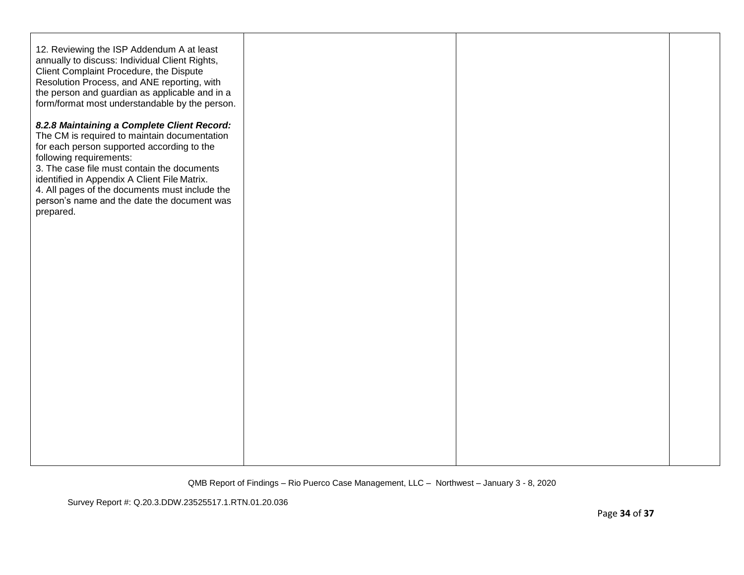| 12. Reviewing the ISP Addendum A at least<br>annually to discuss: Individual Client Rights,<br>Client Complaint Procedure, the Dispute<br>Resolution Process, and ANE reporting, with<br>the person and guardian as applicable and in a<br>form/format most understandable by the person.                                                                                         |  |  |
|-----------------------------------------------------------------------------------------------------------------------------------------------------------------------------------------------------------------------------------------------------------------------------------------------------------------------------------------------------------------------------------|--|--|
| 8.2.8 Maintaining a Complete Client Record:<br>The CM is required to maintain documentation<br>for each person supported according to the<br>following requirements:<br>3. The case file must contain the documents<br>identified in Appendix A Client File Matrix.<br>4. All pages of the documents must include the<br>person's name and the date the document was<br>prepared. |  |  |
|                                                                                                                                                                                                                                                                                                                                                                                   |  |  |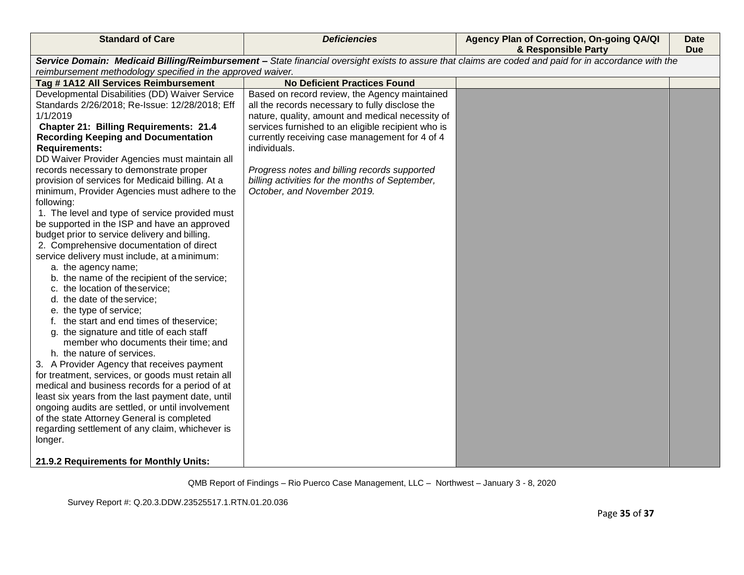| <b>Standard of Care</b>                                                                                                                               | <b>Deficiencies</b>                                | Agency Plan of Correction, On-going QA/QI<br>& Responsible Party | <b>Date</b><br><b>Due</b> |  |
|-------------------------------------------------------------------------------------------------------------------------------------------------------|----------------------------------------------------|------------------------------------------------------------------|---------------------------|--|
| Service Domain: Medicaid Billing/Reimbursement - State financial oversight exists to assure that claims are coded and paid for in accordance with the |                                                    |                                                                  |                           |  |
| reimbursement methodology specified in the approved waiver.                                                                                           |                                                    |                                                                  |                           |  |
| Tag #1A12 All Services Reimbursement                                                                                                                  | <b>No Deficient Practices Found</b>                |                                                                  |                           |  |
| Developmental Disabilities (DD) Waiver Service                                                                                                        | Based on record review, the Agency maintained      |                                                                  |                           |  |
| Standards 2/26/2018; Re-Issue: 12/28/2018; Eff                                                                                                        | all the records necessary to fully disclose the    |                                                                  |                           |  |
| 1/1/2019                                                                                                                                              | nature, quality, amount and medical necessity of   |                                                                  |                           |  |
| <b>Chapter 21: Billing Requirements: 21.4</b>                                                                                                         | services furnished to an eligible recipient who is |                                                                  |                           |  |
| <b>Recording Keeping and Documentation</b>                                                                                                            | currently receiving case management for 4 of 4     |                                                                  |                           |  |
| <b>Requirements:</b>                                                                                                                                  | individuals.                                       |                                                                  |                           |  |
| DD Waiver Provider Agencies must maintain all                                                                                                         |                                                    |                                                                  |                           |  |
| records necessary to demonstrate proper                                                                                                               | Progress notes and billing records supported       |                                                                  |                           |  |
| provision of services for Medicaid billing. At a                                                                                                      | billing activities for the months of September,    |                                                                  |                           |  |
| minimum, Provider Agencies must adhere to the                                                                                                         | October, and November 2019.                        |                                                                  |                           |  |
| following:                                                                                                                                            |                                                    |                                                                  |                           |  |
| 1. The level and type of service provided must                                                                                                        |                                                    |                                                                  |                           |  |
| be supported in the ISP and have an approved                                                                                                          |                                                    |                                                                  |                           |  |
| budget prior to service delivery and billing.                                                                                                         |                                                    |                                                                  |                           |  |
| 2. Comprehensive documentation of direct                                                                                                              |                                                    |                                                                  |                           |  |
| service delivery must include, at a minimum:                                                                                                          |                                                    |                                                                  |                           |  |
| a. the agency name;                                                                                                                                   |                                                    |                                                                  |                           |  |
| b. the name of the recipient of the service;                                                                                                          |                                                    |                                                                  |                           |  |
| c. the location of theservice;                                                                                                                        |                                                    |                                                                  |                           |  |
| d. the date of the service;                                                                                                                           |                                                    |                                                                  |                           |  |
| e. the type of service;                                                                                                                               |                                                    |                                                                  |                           |  |
| f. the start and end times of theservice;                                                                                                             |                                                    |                                                                  |                           |  |
| g. the signature and title of each staff                                                                                                              |                                                    |                                                                  |                           |  |
| member who documents their time; and                                                                                                                  |                                                    |                                                                  |                           |  |
| h. the nature of services.                                                                                                                            |                                                    |                                                                  |                           |  |
| 3. A Provider Agency that receives payment                                                                                                            |                                                    |                                                                  |                           |  |
| for treatment, services, or goods must retain all                                                                                                     |                                                    |                                                                  |                           |  |
| medical and business records for a period of at                                                                                                       |                                                    |                                                                  |                           |  |
| least six years from the last payment date, until                                                                                                     |                                                    |                                                                  |                           |  |
| ongoing audits are settled, or until involvement                                                                                                      |                                                    |                                                                  |                           |  |
| of the state Attorney General is completed                                                                                                            |                                                    |                                                                  |                           |  |
| regarding settlement of any claim, whichever is                                                                                                       |                                                    |                                                                  |                           |  |
| longer.                                                                                                                                               |                                                    |                                                                  |                           |  |
|                                                                                                                                                       |                                                    |                                                                  |                           |  |
| 21.9.2 Requirements for Monthly Units:                                                                                                                |                                                    |                                                                  |                           |  |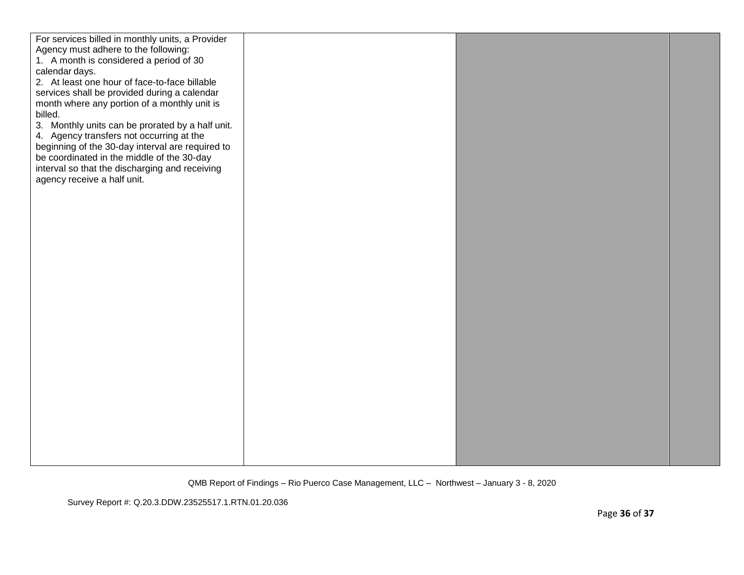| For services billed in monthly units, a Provider<br>Agency must adhere to the following:<br>1. A month is considered a period of 30<br>calendar days.<br>2. At least one hour of face-to-face billable<br>services shall be provided during a calendar<br>month where any portion of a monthly unit is<br>billed.<br>3. Monthly units can be prorated by a half unit.<br>4. Agency transfers not occurring at the<br>beginning of the 30-day interval are required to<br>be coordinated in the middle of the 30-day<br>interval so that the discharging and receiving<br>agency receive a half unit. |  |  |
|------------------------------------------------------------------------------------------------------------------------------------------------------------------------------------------------------------------------------------------------------------------------------------------------------------------------------------------------------------------------------------------------------------------------------------------------------------------------------------------------------------------------------------------------------------------------------------------------------|--|--|
|                                                                                                                                                                                                                                                                                                                                                                                                                                                                                                                                                                                                      |  |  |
|                                                                                                                                                                                                                                                                                                                                                                                                                                                                                                                                                                                                      |  |  |